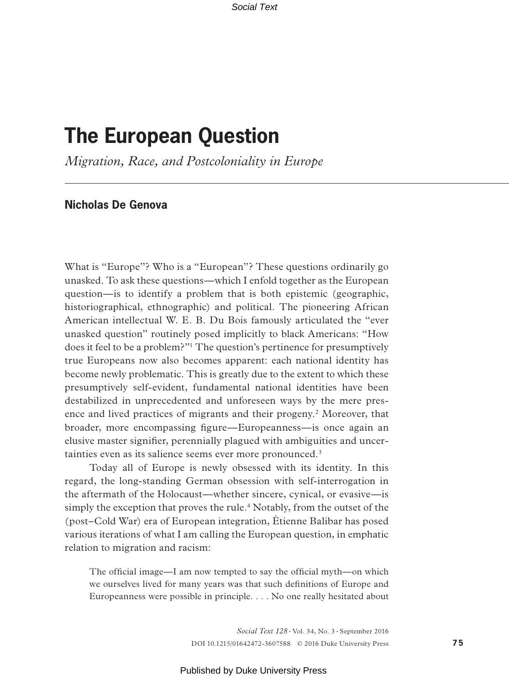# **The European Question**

*Migration, Race, and Postcoloniality in Europe*

# **Nicholas De Genova**

What is "Europe"? Who is a "European"? These questions ordinarily go unasked. To ask these questions—which I enfold together as the European question—is to identify a problem that is both epistemic (geographic, historiographical, ethnographic) and political. The pioneering African American intellectual W. E. B. Du Bois famously articulated the "ever unasked question" routinely posed implicitly to black Americans: "How does it feel to be a problem?"1 The question's pertinence for presumptively true Europeans now also becomes apparent: each national identity has become newly problematic. This is greatly due to the extent to which these presumptively self-evident, fundamental national identities have been destabilized in unprecedented and unforeseen ways by the mere presence and lived practices of migrants and their progeny.<sup>2</sup> Moreover, that broader, more encompassing figure—Europeanness—is once again an elusive master signifier, perennially plagued with ambiguities and uncertainties even as its salience seems ever more pronounced.<sup>3</sup>

Today all of Europe is newly obsessed with its identity. In this regard, the long-standing German obsession with self-interrogation in the aftermath of the Holocaust—whether sincere, cynical, or evasive—is simply the exception that proves the rule.<sup>4</sup> Notably, from the outset of the (post–Cold War) era of European integration, Étienne Balibar has posed various iterations of what I am calling the European question, in emphatic relation to migration and racism:

The official image—I am now tempted to say the official myth—on which we ourselves lived for many years was that such definitions of Europe and Europeanness were possible in principle. . . . No one really hesitated about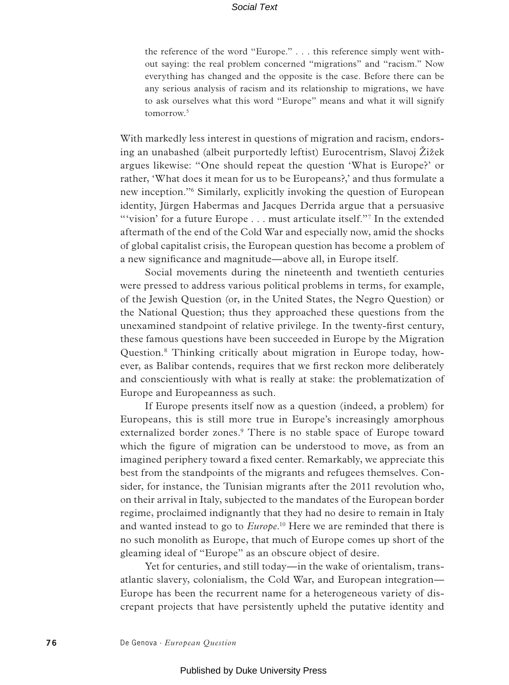the reference of the word "Europe." . . . this reference simply went without saying: the real problem concerned "migrations" and "racism." Now everything has changed and the opposite is the case. Before there can be any serious analysis of racism and its relationship to migrations, we have to ask ourselves what this word "Europe" means and what it will signify tomorrow.<sup>5</sup>

With markedly less interest in questions of migration and racism, endorsing an unabashed (albeit purportedly leftist) Eurocentrism, Slavoj Žižek argues likewise: "One should repeat the question 'What is Europe?' or rather, 'What does it mean for us to be Europeans?,' and thus formulate a new inception."6 Similarly, explicitly invoking the question of European identity, Jürgen Habermas and Jacques Derrida argue that a persuasive "'vision' for a future Europe . . . must articulate itself."<sup>7</sup> In the extended aftermath of the end of the Cold War and especially now, amid the shocks of global capitalist crisis, the European question has become a problem of a new significance and magnitude—above all, in Europe itself.

Social movements during the nineteenth and twentieth centuries were pressed to address various political problems in terms, for example, of the Jewish Question (or, in the United States, the Negro Question) or the National Question; thus they approached these questions from the unexamined standpoint of relative privilege. In the twenty-first century, these famous questions have been succeeded in Europe by the Migration Question.8 Thinking critically about migration in Europe today, however, as Balibar contends, requires that we first reckon more deliberately and conscientiously with what is really at stake: the problematization of Europe and Europeanness as such.

If Europe presents itself now as a question (indeed, a problem) for Europeans, this is still more true in Europe's increasingly amorphous externalized border zones.<sup>9</sup> There is no stable space of Europe toward which the figure of migration can be understood to move, as from an imagined periphery toward a fixed center. Remarkably, we appreciate this best from the standpoints of the migrants and refugees themselves. Consider, for instance, the Tunisian migrants after the 2011 revolution who, on their arrival in Italy, subjected to the mandates of the European border regime, proclaimed indignantly that they had no desire to remain in Italy and wanted instead to go to *Europe*. 10 Here we are reminded that there is no such monolith as Europe, that much of Europe comes up short of the gleaming ideal of "Europe" as an obscure object of desire.

Yet for centuries, and still today—in the wake of orientalism, transatlantic slavery, colonialism, the Cold War, and European integration— Europe has been the recurrent name for a heterogeneous variety of discrepant projects that have persistently upheld the putative identity and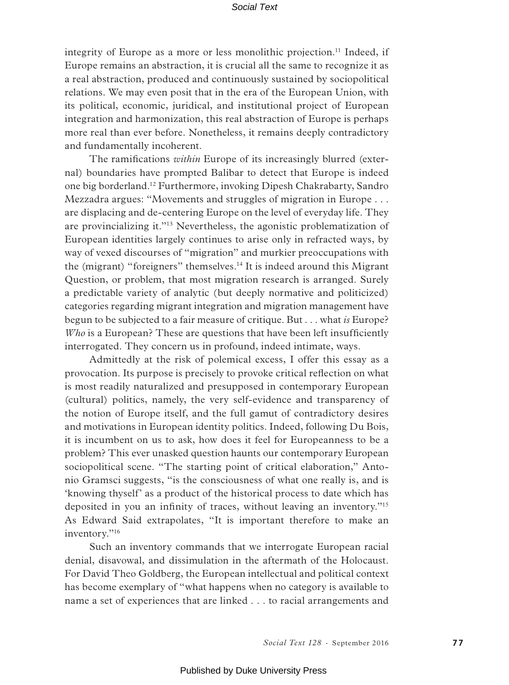integrity of Europe as a more or less monolithic projection.<sup>11</sup> Indeed, if Europe remains an abstraction, it is crucial all the same to recognize it as a real abstraction, produced and continuously sustained by sociopolitical relations. We may even posit that in the era of the European Union, with its political, economic, juridical, and institutional project of European integration and harmonization, this real abstraction of Europe is perhaps more real than ever before. Nonetheless, it remains deeply contradictory and fundamentally incoherent.

The ramifications *within* Europe of its increasingly blurred (external) boundaries have prompted Balibar to detect that Europe is indeed one big borderland.12 Furthermore, invoking Dipesh Chakrabarty, Sandro Mezzadra argues: "Movements and struggles of migration in Europe . . . are displacing and de-centering Europe on the level of everyday life. They are provincializing it."13 Nevertheless, the agonistic problematization of European identities largely continues to arise only in refracted ways, by way of vexed discourses of "migration" and murkier preoccupations with the (migrant) "foreigners" themselves.14 It is indeed around this Migrant Question, or problem, that most migration research is arranged. Surely a predictable variety of analytic (but deeply normative and politicized) categories regarding migrant integration and migration management have begun to be subjected to a fair measure of critique. But . . . what *is* Europe? *Who* is a European? These are questions that have been left insufficiently interrogated. They concern us in profound, indeed intimate, ways.

Admittedly at the risk of polemical excess, I offer this essay as a provocation. Its purpose is precisely to provoke critical reflection on what is most readily naturalized and presupposed in contemporary European (cultural) politics, namely, the very self-evidence and transparency of the notion of Europe itself, and the full gamut of contradictory desires and motivations in European identity politics. Indeed, following Du Bois, it is incumbent on us to ask, how does it feel for Europeanness to be a problem? This ever unasked question haunts our contemporary European sociopolitical scene. "The starting point of critical elaboration," Antonio Gramsci suggests, "is the consciousness of what one really is, and is 'knowing thyself' as a product of the historical process to date which has deposited in you an infinity of traces, without leaving an inventory."15 As Edward Said extrapolates, "It is important therefore to make an inventory."<sup>16</sup>

Such an inventory commands that we interrogate European racial denial, disavowal, and dissimulation in the aftermath of the Holocaust. For David Theo Goldberg, the European intellectual and political context has become exemplary of "what happens when no category is available to name a set of experiences that are linked . . . to racial arrangements and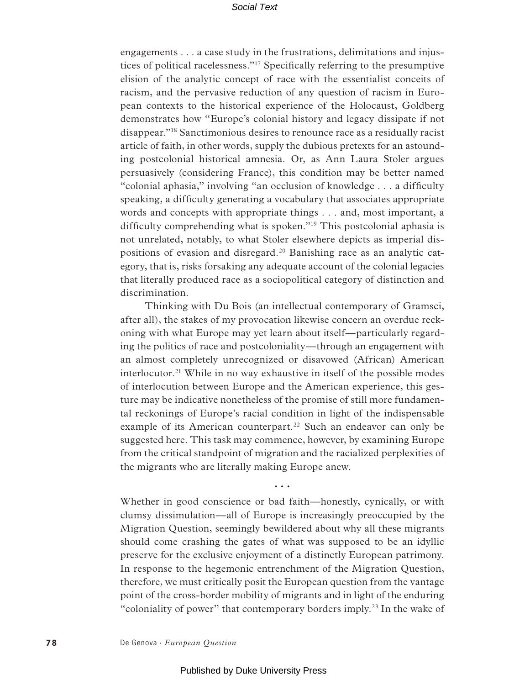engagements . . . a case study in the frustrations, delimitations and injustices of political racelessness."17 Specifically referring to the presumptive elision of the analytic concept of race with the essentialist conceits of racism, and the pervasive reduction of any question of racism in European contexts to the historical experience of the Holocaust, Goldberg demonstrates how "Europe's colonial history and legacy dissipate if not disappear."18 Sanctimonious desires to renounce race as a residually racist article of faith, in other words, supply the dubious pretexts for an astounding postcolonial historical amnesia. Or, as Ann Laura Stoler argues persuasively (considering France), this condition may be better named "colonial aphasia," involving "an occlusion of knowledge . . . a difficulty speaking, a difficulty generating a vocabulary that associates appropriate words and concepts with appropriate things . . . and, most important, a difficulty comprehending what is spoken."19 This postcolonial aphasia is not unrelated, notably, to what Stoler elsewhere depicts as imperial dispositions of evasion and disregard.20 Banishing race as an analytic category, that is, risks forsaking any adequate account of the colonial legacies that literally produced race as a sociopolitical category of distinction and discrimination.

Thinking with Du Bois (an intellectual contemporary of Gramsci, after all), the stakes of my provocation likewise concern an overdue reckoning with what Europe may yet learn about itself—particularly regarding the politics of race and postcoloniality—through an engagement with an almost completely unrecognized or disavowed (African) American interlocutor.21 While in no way exhaustive in itself of the possible modes of interlocution between Europe and the American experience, this gesture may be indicative nonetheless of the promise of still more fundamental reckonings of Europe's racial condition in light of the indispensable example of its American counterpart.<sup>22</sup> Such an endeavor can only be suggested here. This task may commence, however, by examining Europe from the critical standpoint of migration and the racialized perplexities of the migrants who are literally making Europe anew.

Whether in good conscience or bad faith—honestly, cynically, or with clumsy dissimulation—all of Europe is increasingly preoccupied by the Migration Question, seemingly bewildered about why all these migrants should come crashing the gates of what was supposed to be an idyllic preserve for the exclusive enjoyment of a distinctly European patrimony. In response to the hegemonic entrenchment of the Migration Question, therefore, we must critically posit the European question from the vantage point of the cross-border mobility of migrants and in light of the enduring "coloniality of power" that contemporary borders imply.23 In the wake of

**...**

**78** De Genova · *European Question*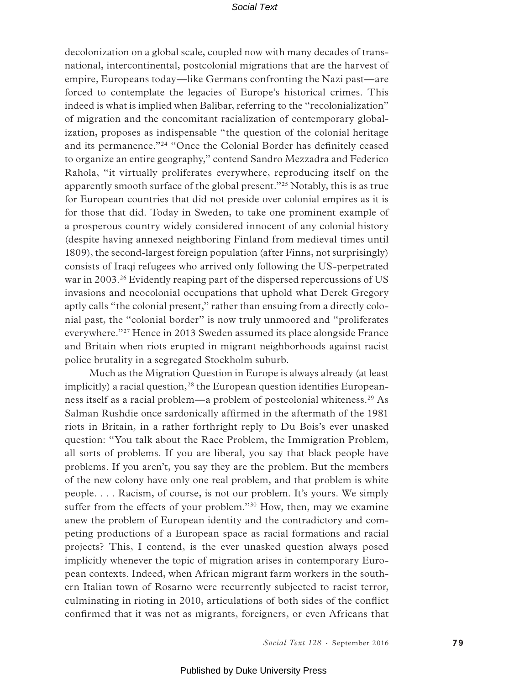decolonization on a global scale, coupled now with many decades of transnational, intercontinental, postcolonial migrations that are the harvest of empire, Europeans today—like Germans confronting the Nazi past—are forced to contemplate the legacies of Europe's historical crimes. This indeed is what is implied when Balibar, referring to the "recolonialization" of migration and the concomitant racialization of contemporary globalization, proposes as indispensable "the question of the colonial heritage and its permanence."24 "Once the Colonial Border has definitely ceased to organize an entire geography," contend Sandro Mezzadra and Federico Rahola, "it virtually proliferates everywhere, reproducing itself on the apparently smooth surface of the global present."25 Notably, this is as true for European countries that did not preside over colonial empires as it is for those that did. Today in Sweden, to take one prominent example of a prosperous country widely considered innocent of any colonial history (despite having annexed neighboring Finland from medieval times until 1809), the second-largest foreign population (after Finns, not surprisingly) consists of Iraqi refugees who arrived only following the US-perpetrated war in 2003.<sup>26</sup> Evidently reaping part of the dispersed repercussions of US invasions and neocolonial occupations that uphold what Derek Gregory aptly calls "the colonial present," rather than ensuing from a directly colonial past, the "colonial border" is now truly unmoored and "proliferates everywhere."27 Hence in 2013 Sweden assumed its place alongside France and Britain when riots erupted in migrant neighborhoods against racist police brutality in a segregated Stockholm suburb.

Much as the Migration Question in Europe is always already (at least  $implicity$ ) a racial question,<sup>28</sup> the European question identifies Europeanness itself as a racial problem—a problem of postcolonial whiteness.29 As Salman Rushdie once sardonically affirmed in the aftermath of the 1981 riots in Britain, in a rather forthright reply to Du Bois's ever unasked question: "You talk about the Race Problem, the Immigration Problem, all sorts of problems. If you are liberal, you say that black people have problems. If you aren't, you say they are the problem. But the members of the new colony have only one real problem, and that problem is white people. . . . Racism, of course, is not our problem. It's yours. We simply suffer from the effects of your problem."30 How, then, may we examine anew the problem of European identity and the contradictory and competing productions of a European space as racial formations and racial projects? This, I contend, is the ever unasked question always posed implicitly whenever the topic of migration arises in contemporary European contexts. Indeed, when African migrant farm workers in the southern Italian town of Rosarno were recurrently subjected to racist terror, culminating in rioting in 2010, articulations of both sides of the conflict confirmed that it was not as migrants, foreigners, or even Africans that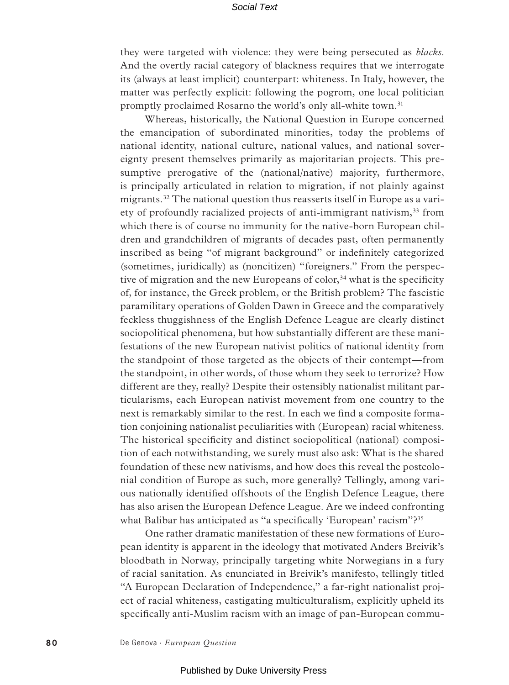they were targeted with violence: they were being persecuted as *blacks*. And the overtly racial category of blackness requires that we interrogate its (always at least implicit) counterpart: whiteness. In Italy, however, the matter was perfectly explicit: following the pogrom, one local politician promptly proclaimed Rosarno the world's only all-white town.<sup>31</sup>

Whereas, historically, the National Question in Europe concerned the emancipation of subordinated minorities, today the problems of national identity, national culture, national values, and national sovereignty present themselves primarily as majoritarian projects. This presumptive prerogative of the (national/native) majority, furthermore, is principally articulated in relation to migration, if not plainly against migrants.32 The national question thus reasserts itself in Europe as a variety of profoundly racialized projects of anti-immigrant nativism,<sup>33</sup> from which there is of course no immunity for the native-born European children and grandchildren of migrants of decades past, often permanently inscribed as being "of migrant background" or indefinitely categorized (sometimes, juridically) as (noncitizen) "foreigners." From the perspective of migration and the new Europeans of color, $34$  what is the specificity of, for instance, the Greek problem, or the British problem? The fascistic paramilitary operations of Golden Dawn in Greece and the comparatively feckless thuggishness of the English Defence League are clearly distinct sociopolitical phenomena, but how substantially different are these manifestations of the new European nativist politics of national identity from the standpoint of those targeted as the objects of their contempt—from the standpoint, in other words, of those whom they seek to terrorize? How different are they, really? Despite their ostensibly nationalist militant particularisms, each European nativist movement from one country to the next is remarkably similar to the rest. In each we find a composite formation conjoining nationalist peculiarities with (European) racial whiteness. The historical specificity and distinct sociopolitical (national) composition of each notwithstanding, we surely must also ask: What is the shared foundation of these new nativisms, and how does this reveal the postcolonial condition of Europe as such, more generally? Tellingly, among various nationally identified offshoots of the English Defence League, there has also arisen the European Defence League. Are we indeed confronting what Balibar has anticipated as "a specifically 'European' racism"?<sup>35</sup>

One rather dramatic manifestation of these new formations of European identity is apparent in the ideology that motivated Anders Breivik's bloodbath in Norway, principally targeting white Norwegians in a fury of racial sanitation. As enunciated in Breivik's manifesto, tellingly titled "A European Declaration of Independence," a far-right nationalist project of racial whiteness, castigating multiculturalism, explicitly upheld its specifically anti-Muslim racism with an image of pan-European commu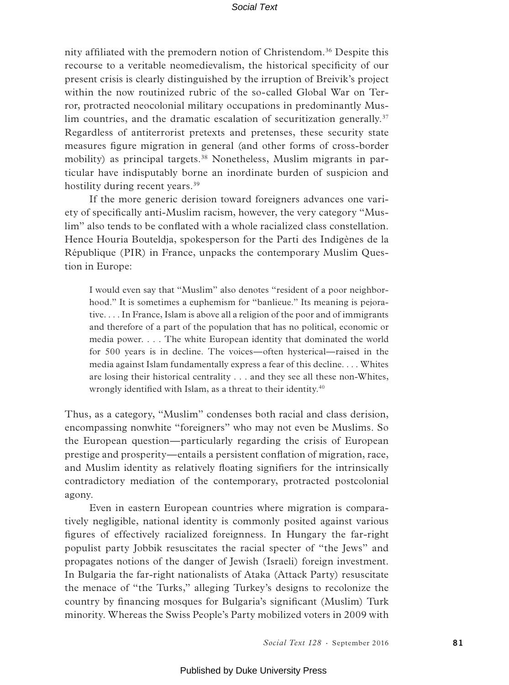nity affiliated with the premodern notion of Christendom.<sup>36</sup> Despite this recourse to a veritable neomedievalism, the historical specificity of our present crisis is clearly distinguished by the irruption of Breivik's project within the now routinized rubric of the so-called Global War on Terror, protracted neocolonial military occupations in predominantly Muslim countries, and the dramatic escalation of securitization generally. $37$ Regardless of antiterrorist pretexts and pretenses, these security state measures figure migration in general (and other forms of cross-border mobility) as principal targets.<sup>38</sup> Nonetheless, Muslim migrants in particular have indisputably borne an inordinate burden of suspicion and hostility during recent years.<sup>39</sup>

If the more generic derision toward foreigners advances one variety of specifically anti-Muslim racism, however, the very category "Muslim" also tends to be conflated with a whole racialized class constellation. Hence Houria Bouteldja, spokesperson for the Parti des Indigènes de la République (PIR) in France, unpacks the contemporary Muslim Question in Europe:

I would even say that "Muslim" also denotes "resident of a poor neighborhood." It is sometimes a euphemism for "banlieue." Its meaning is pejorative. . . . In France, Islam is above all a religion of the poor and of immigrants and therefore of a part of the population that has no political, economic or media power. . . . The white European identity that dominated the world for 500 years is in decline. The voices—often hysterical—raised in the media against Islam fundamentally express a fear of this decline. . . . Whites are losing their historical centrality . . . and they see all these non-Whites, wrongly identified with Islam, as a threat to their identity.<sup>40</sup>

Thus, as a category, "Muslim" condenses both racial and class derision, encompassing nonwhite "foreigners" who may not even be Muslims. So the European question—particularly regarding the crisis of European prestige and prosperity—entails a persistent conflation of migration, race, and Muslim identity as relatively floating signifiers for the intrinsically contradictory mediation of the contemporary, protracted postcolonial agony.

Even in eastern European countries where migration is comparatively negligible, national identity is commonly posited against various figures of effectively racialized foreignness. In Hungary the far-right populist party Jobbik resuscitates the racial specter of "the Jews" and propagates notions of the danger of Jewish (Israeli) foreign investment. In Bulgaria the far-right nationalists of Ataka (Attack Party) resuscitate the menace of "the Turks," alleging Turkey's designs to recolonize the country by financing mosques for Bulgaria's significant (Muslim) Turk minority. Whereas the Swiss People's Party mobilized voters in 2009 with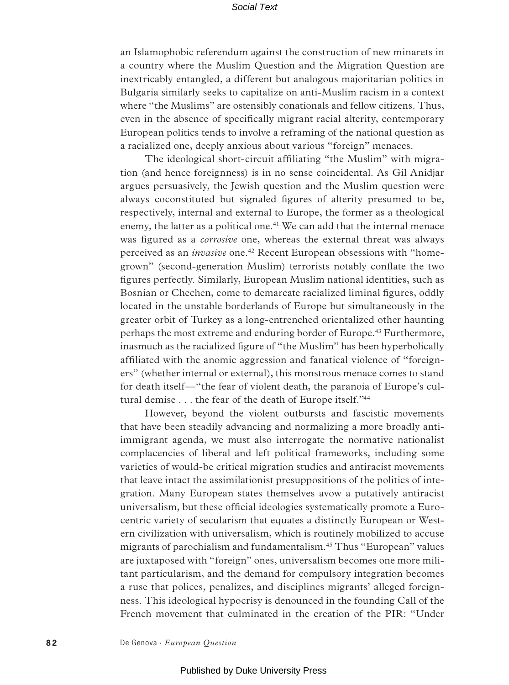an Islamophobic referendum against the construction of new minarets in a country where the Muslim Question and the Migration Question are inextricably entangled, a different but analogous majoritarian politics in Bulgaria similarly seeks to capitalize on anti-Muslim racism in a context where "the Muslims" are ostensibly conationals and fellow citizens. Thus, even in the absence of specifically migrant racial alterity, contemporary European politics tends to involve a reframing of the national question as a racialized one, deeply anxious about various "foreign" menaces.

The ideological short-circuit affiliating "the Muslim" with migration (and hence foreignness) is in no sense coincidental. As Gil Anidjar argues persuasively, the Jewish question and the Muslim question were always coconstituted but signaled figures of alterity presumed to be, respectively, internal and external to Europe, the former as a theological enemy, the latter as a political one.<sup>41</sup> We can add that the internal menace was figured as a *corrosive* one, whereas the external threat was always perceived as an *invasive* one.<sup>42</sup> Recent European obsessions with "homegrown" (second-generation Muslim) terrorists notably conflate the two figures perfectly. Similarly, European Muslim national identities, such as Bosnian or Chechen, come to demarcate racialized liminal figures, oddly located in the unstable borderlands of Europe but simultaneously in the greater orbit of Turkey as a long-entrenched orientalized other haunting perhaps the most extreme and enduring border of Europe.<sup>43</sup> Furthermore, inasmuch as the racialized figure of "the Muslim" has been hyperbolically affiliated with the anomic aggression and fanatical violence of "foreigners" (whether internal or external), this monstrous menace comes to stand for death itself—"the fear of violent death, the paranoia of Europe's cultural demise . . . the fear of the death of Europe itself."44

However, beyond the violent outbursts and fascistic movements that have been steadily advancing and normalizing a more broadly antiimmigrant agenda, we must also interrogate the normative nationalist complacencies of liberal and left political frameworks, including some varieties of would-be critical migration studies and antiracist movements that leave intact the assimilationist presuppositions of the politics of integration. Many European states themselves avow a putatively antiracist universalism, but these official ideologies systematically promote a Eurocentric variety of secularism that equates a distinctly European or Western civilization with universalism, which is routinely mobilized to accuse migrants of parochialism and fundamentalism.45 Thus "European" values are juxtaposed with "foreign" ones, universalism becomes one more militant particularism, and the demand for compulsory integration becomes a ruse that polices, penalizes, and disciplines migrants' alleged foreignness. This ideological hypocrisy is denounced in the founding Call of the French movement that culminated in the creation of the PIR: "Under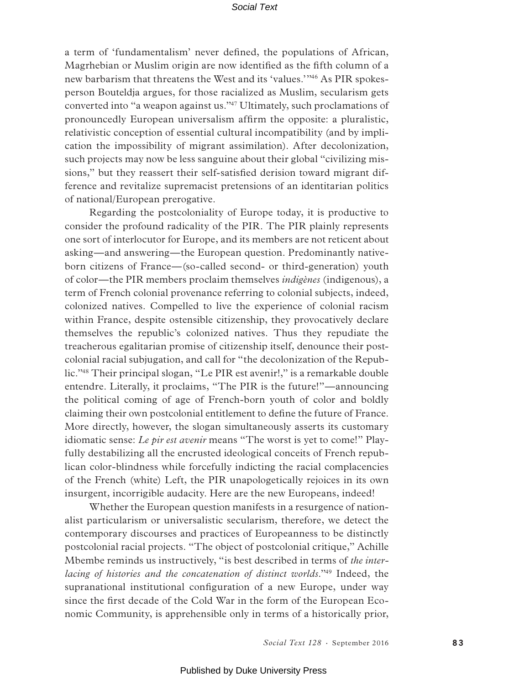a term of 'fundamentalism' never defined, the populations of African, Magrhebian or Muslim origin are now identified as the fifth column of a new barbarism that threatens the West and its 'values.'"46 As PIR spokesperson Bouteldja argues, for those racialized as Muslim, secularism gets converted into "a weapon against us."47 Ultimately, such proclamations of pronouncedly European universalism affirm the opposite: a pluralistic, relativistic conception of essential cultural incompatibility (and by implication the impossibility of migrant assimilation). After decolonization, such projects may now be less sanguine about their global "civilizing missions," but they reassert their self-satisfied derision toward migrant difference and revitalize supremacist pretensions of an identitarian politics of national/European prerogative.

Regarding the postcoloniality of Europe today, it is productive to consider the profound radicality of the PIR. The PIR plainly represents one sort of interlocutor for Europe, and its members are not reticent about asking—and answering—the European question. Predominantly nativeborn citizens of France—(so-called second- or third-generation) youth of color—the PIR members proclaim themselves *indigènes* (indigenous), a term of French colonial provenance referring to colonial subjects, indeed, colonized natives. Compelled to live the experience of colonial racism within France, despite ostensible citizenship, they provocatively declare themselves the republic's colonized natives. Thus they repudiate the treacherous egalitarian promise of citizenship itself, denounce their postcolonial racial subjugation, and call for "the decolonization of the Republic."48 Their principal slogan, "Le PIR est avenir!," is a remarkable double entendre. Literally, it proclaims, "The PIR is the future!"—announcing the political coming of age of French-born youth of color and boldly claiming their own postcolonial entitlement to define the future of France. More directly, however, the slogan simultaneously asserts its customary idiomatic sense: *Le pir est avenir* means "The worst is yet to come!" Playfully destabilizing all the encrusted ideological conceits of French republican color-blindness while forcefully indicting the racial complacencies of the French (white) Left, the PIR unapologetically rejoices in its own insurgent, incorrigible audacity. Here are the new Europeans, indeed!

Whether the European question manifests in a resurgence of nationalist particularism or universalistic secularism, therefore, we detect the contemporary discourses and practices of Europeanness to be distinctly postcolonial racial projects. "The object of postcolonial critique," Achille Mbembe reminds us instructively, "is best described in terms of *the interlacing of histories and the concatenation of distinct worlds*."49 Indeed, the supranational institutional configuration of a new Europe, under way since the first decade of the Cold War in the form of the European Economic Community, is apprehensible only in terms of a historically prior,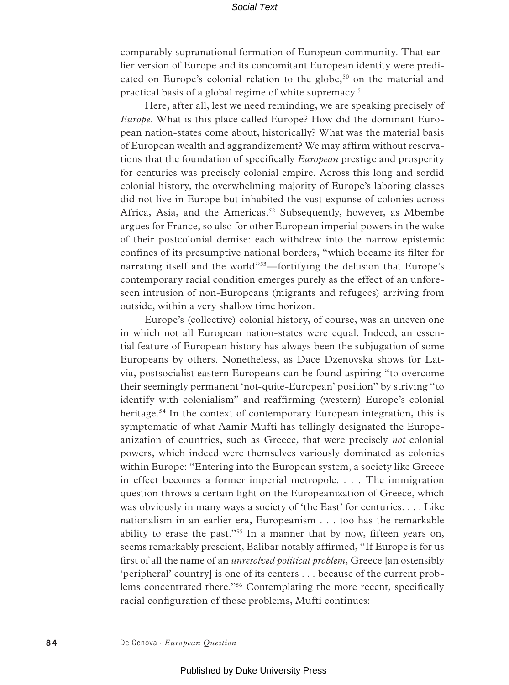comparably supranational formation of European community. That earlier version of Europe and its concomitant European identity were predicated on Europe's colonial relation to the globe,<sup>50</sup> on the material and practical basis of a global regime of white supremacy.<sup>51</sup>

Here, after all, lest we need reminding, we are speaking precisely of *Europe*. What is this place called Europe? How did the dominant European nation-states come about, historically? What was the material basis of European wealth and aggrandizement? We may affirm without reservations that the foundation of specifically *European* prestige and prosperity for centuries was precisely colonial empire. Across this long and sordid colonial history, the overwhelming majority of Europe's laboring classes did not live in Europe but inhabited the vast expanse of colonies across Africa, Asia, and the Americas.<sup>52</sup> Subsequently, however, as Mbembe argues for France, so also for other European imperial powers in the wake of their postcolonial demise: each withdrew into the narrow epistemic confines of its presumptive national borders, "which became its filter for narrating itself and the world<sup>"53</sup>—fortifying the delusion that Europe's contemporary racial condition emerges purely as the effect of an unforeseen intrusion of non-Europeans (migrants and refugees) arriving from outside, within a very shallow time horizon.

Europe's (collective) colonial history, of course, was an uneven one in which not all European nation-states were equal. Indeed, an essential feature of European history has always been the subjugation of some Europeans by others. Nonetheless, as Dace Dzenovska shows for Latvia, postsocialist eastern Europeans can be found aspiring "to overcome their seemingly permanent 'not-quite-European' position" by striving "to identify with colonialism" and reaffirming (western) Europe's colonial heritage.<sup>54</sup> In the context of contemporary European integration, this is symptomatic of what Aamir Mufti has tellingly designated the Europeanization of countries, such as Greece, that were precisely *not* colonial powers, which indeed were themselves variously dominated as colonies within Europe: "Entering into the European system, a society like Greece in effect becomes a former imperial metropole. . . . The immigration question throws a certain light on the Europeanization of Greece, which was obviously in many ways a society of 'the East' for centuries. . . . Like nationalism in an earlier era, Europeanism . . . too has the remarkable ability to erase the past."<sup>55</sup> In a manner that by now, fifteen years on, seems remarkably prescient, Balibar notably affirmed, "If Europe is for us first of all the name of an *unresolved political problem*, Greece [an ostensibly 'peripheral' country] is one of its centers . . . because of the current problems concentrated there."<sup>56</sup> Contemplating the more recent, specifically racial configuration of those problems, Mufti continues: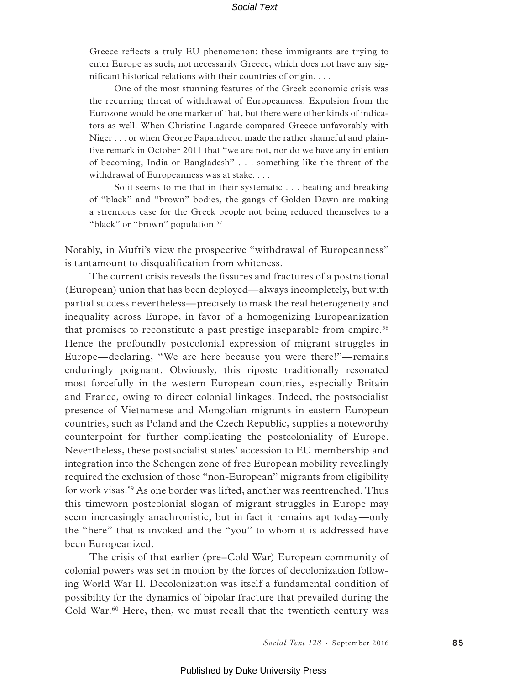Greece reflects a truly EU phenomenon: these immigrants are trying to enter Europe as such, not necessarily Greece, which does not have any significant historical relations with their countries of origin. . . .

One of the most stunning features of the Greek economic crisis was the recurring threat of withdrawal of Europeanness. Expulsion from the Eurozone would be one marker of that, but there were other kinds of indicators as well. When Christine Lagarde compared Greece unfavorably with Niger . . . or when George Papandreou made the rather shameful and plaintive remark in October 2011 that "we are not, nor do we have any intention of becoming, India or Bangladesh" . . . something like the threat of the withdrawal of Europeanness was at stake. . . .

So it seems to me that in their systematic . . . beating and breaking of "black" and "brown" bodies, the gangs of Golden Dawn are making a strenuous case for the Greek people not being reduced themselves to a "black" or "brown" population.<sup>57</sup>

Notably, in Mufti's view the prospective "withdrawal of Europeanness" is tantamount to disqualification from whiteness.

The current crisis reveals the fissures and fractures of a postnational (European) union that has been deployed—always incompletely, but with partial success nevertheless—precisely to mask the real heterogeneity and inequality across Europe, in favor of a homogenizing Europeanization that promises to reconstitute a past prestige inseparable from empire.<sup>58</sup> Hence the profoundly postcolonial expression of migrant struggles in Europe—declaring, "We are here because you were there!"—remains enduringly poignant. Obviously, this riposte traditionally resonated most forcefully in the western European countries, especially Britain and France, owing to direct colonial linkages. Indeed, the postsocialist presence of Vietnamese and Mongolian migrants in eastern European countries, such as Poland and the Czech Republic, supplies a noteworthy counterpoint for further complicating the postcoloniality of Europe. Nevertheless, these postsocialist states' accession to EU membership and integration into the Schengen zone of free European mobility revealingly required the exclusion of those "non-European" migrants from eligibility for work visas.<sup>59</sup> As one border was lifted, another was reentrenched. Thus this timeworn postcolonial slogan of migrant struggles in Europe may seem increasingly anachronistic, but in fact it remains apt today—only the "here" that is invoked and the "you" to whom it is addressed have been Europeanized.

The crisis of that earlier (pre–Cold War) European community of colonial powers was set in motion by the forces of decolonization following World War II. Decolonization was itself a fundamental condition of possibility for the dynamics of bipolar fracture that prevailed during the Cold War.<sup>60</sup> Here, then, we must recall that the twentieth century was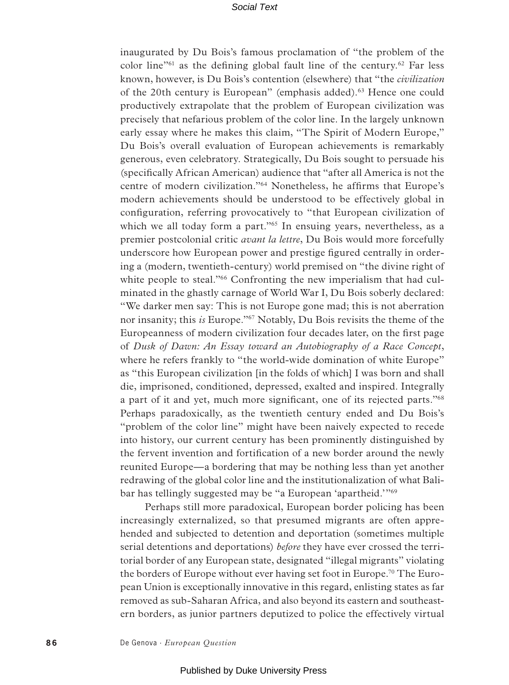inaugurated by Du Bois's famous proclamation of "the problem of the color line"<sup>61</sup> as the defining global fault line of the century.<sup>62</sup> Far less known, however, is Du Bois's contention (elsewhere) that "the *civilization* of the 20th century is European" (emphasis added).<sup>63</sup> Hence one could productively extrapolate that the problem of European civilization was precisely that nefarious problem of the color line. In the largely unknown early essay where he makes this claim, "The Spirit of Modern Europe," Du Bois's overall evaluation of European achievements is remarkably generous, even celebratory. Strategically, Du Bois sought to persuade his (specifically African American) audience that "after all America is not the centre of modern civilization."64 Nonetheless, he affirms that Europe's modern achievements should be understood to be effectively global in configuration, referring provocatively to "that European civilization of which we all today form a part."<sup>65</sup> In ensuing years, nevertheless, as a premier postcolonial critic *avant la lettre*, Du Bois would more forcefully underscore how European power and prestige figured centrally in ordering a (modern, twentieth-century) world premised on "the divine right of white people to steal."<sup>66</sup> Confronting the new imperialism that had culminated in the ghastly carnage of World War I, Du Bois soberly declared: "We darker men say: This is not Europe gone mad; this is not aberration nor insanity; this *is* Europe."67 Notably, Du Bois revisits the theme of the Europeanness of modern civilization four decades later, on the first page of *Dusk of Dawn: An Essay toward an Autobiography of a Race Concept*, where he refers frankly to "the world-wide domination of white Europe" as "this European civilization [in the folds of which] I was born and shall die, imprisoned, conditioned, depressed, exalted and inspired. Integrally a part of it and yet, much more significant, one of its rejected parts."68 Perhaps paradoxically, as the twentieth century ended and Du Bois's "problem of the color line" might have been naively expected to recede into history, our current century has been prominently distinguished by the fervent invention and fortification of a new border around the newly reunited Europe—a bordering that may be nothing less than yet another redrawing of the global color line and the institutionalization of what Balibar has tellingly suggested may be "a European 'apartheid.'"<sup>69</sup>

Perhaps still more paradoxical, European border policing has been increasingly externalized, so that presumed migrants are often apprehended and subjected to detention and deportation (sometimes multiple serial detentions and deportations) *before* they have ever crossed the territorial border of any European state, designated "illegal migrants" violating the borders of Europe without ever having set foot in Europe.70 The European Union is exceptionally innovative in this regard, enlisting states as far removed as sub-Saharan Africa, and also beyond its eastern and southeastern borders, as junior partners deputized to police the effectively virtual

**8 6** De Genova · *European Question*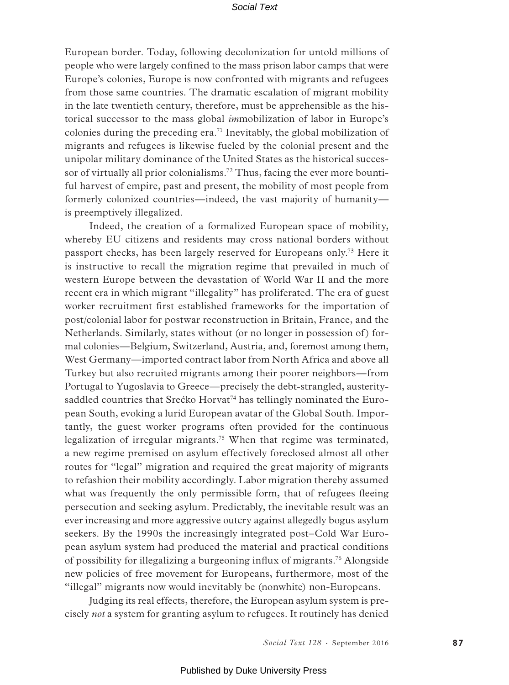European border. Today, following decolonization for untold millions of people who were largely confined to the mass prison labor camps that were Europe's colonies, Europe is now confronted with migrants and refugees from those same countries. The dramatic escalation of migrant mobility in the late twentieth century, therefore, must be apprehensible as the historical successor to the mass global *im*mobilization of labor in Europe's colonies during the preceding era.71 Inevitably, the global mobilization of migrants and refugees is likewise fueled by the colonial present and the unipolar military dominance of the United States as the historical successor of virtually all prior colonialisms.<sup>72</sup> Thus, facing the ever more bountiful harvest of empire, past and present, the mobility of most people from formerly colonized countries—indeed, the vast majority of humanity is preemptively illegalized.

Indeed, the creation of a formalized European space of mobility, whereby EU citizens and residents may cross national borders without passport checks, has been largely reserved for Europeans only.73 Here it is instructive to recall the migration regime that prevailed in much of western Europe between the devastation of World War II and the more recent era in which migrant "illegality" has proliferated. The era of guest worker recruitment first established frameworks for the importation of post/colonial labor for postwar reconstruction in Britain, France, and the Netherlands. Similarly, states without (or no longer in possession of) formal colonies—Belgium, Switzerland, Austria, and, foremost among them, West Germany—imported contract labor from North Africa and above all Turkey but also recruited migrants among their poorer neighbors—from Portugal to Yugoslavia to Greece—precisely the debt-strangled, austeritysaddled countries that Srecko Horvat<sup>74</sup> has tellingly nominated the European South, evoking a lurid European avatar of the Global South. Importantly, the guest worker programs often provided for the continuous legalization of irregular migrants.<sup>75</sup> When that regime was terminated, a new regime premised on asylum effectively foreclosed almost all other routes for "legal" migration and required the great majority of migrants to refashion their mobility accordingly. Labor migration thereby assumed what was frequently the only permissible form, that of refugees fleeing persecution and seeking asylum. Predictably, the inevitable result was an ever increasing and more aggressive outcry against allegedly bogus asylum seekers. By the 1990s the increasingly integrated post–Cold War European asylum system had produced the material and practical conditions of possibility for illegalizing a burgeoning influx of migrants.76 Alongside new policies of free movement for Europeans, furthermore, most of the "illegal" migrants now would inevitably be (nonwhite) non-Europeans.

Judging its real effects, therefore, the European asylum system is precisely *not* a system for granting asylum to refugees. It routinely has denied

De Genova · *European Question Social Text 128* • September 2016 **87**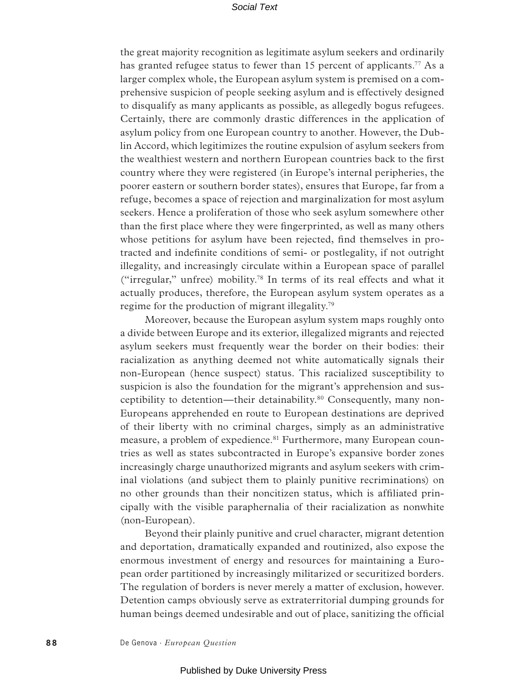the great majority recognition as legitimate asylum seekers and ordinarily has granted refugee status to fewer than 15 percent of applicants.<sup>77</sup> As a larger complex whole, the European asylum system is premised on a comprehensive suspicion of people seeking asylum and is effectively designed to disqualify as many applicants as possible, as allegedly bogus refugees. Certainly, there are commonly drastic differences in the application of asylum policy from one European country to another. However, the Dublin Accord, which legitimizes the routine expulsion of asylum seekers from the wealthiest western and northern European countries back to the first country where they were registered (in Europe's internal peripheries, the poorer eastern or southern border states), ensures that Europe, far from a refuge, becomes a space of rejection and marginalization for most asylum seekers. Hence a proliferation of those who seek asylum somewhere other than the first place where they were fingerprinted, as well as many others whose petitions for asylum have been rejected, find themselves in protracted and indefinite conditions of semi- or postlegality, if not outright illegality, and increasingly circulate within a European space of parallel ("irregular," unfree) mobility.78 In terms of its real effects and what it actually produces, therefore, the European asylum system operates as a regime for the production of migrant illegality.<sup>79</sup>

Moreover, because the European asylum system maps roughly onto a divide between Europe and its exterior, illegalized migrants and rejected asylum seekers must frequently wear the border on their bodies: their racialization as anything deemed not white automatically signals their non-European (hence suspect) status. This racialized susceptibility to suspicion is also the foundation for the migrant's apprehension and susceptibility to detention—their detainability.<sup>80</sup> Consequently, many non-Europeans apprehended en route to European destinations are deprived of their liberty with no criminal charges, simply as an administrative measure, a problem of expedience.<sup>81</sup> Furthermore, many European countries as well as states subcontracted in Europe's expansive border zones increasingly charge unauthorized migrants and asylum seekers with criminal violations (and subject them to plainly punitive recriminations) on no other grounds than their noncitizen status, which is affiliated principally with the visible paraphernalia of their racialization as nonwhite (non-European).

Beyond their plainly punitive and cruel character, migrant detention and deportation, dramatically expanded and routinized, also expose the enormous investment of energy and resources for maintaining a European order partitioned by increasingly militarized or securitized borders. The regulation of borders is never merely a matter of exclusion, however. Detention camps obviously serve as extraterritorial dumping grounds for human beings deemed undesirable and out of place, sanitizing the official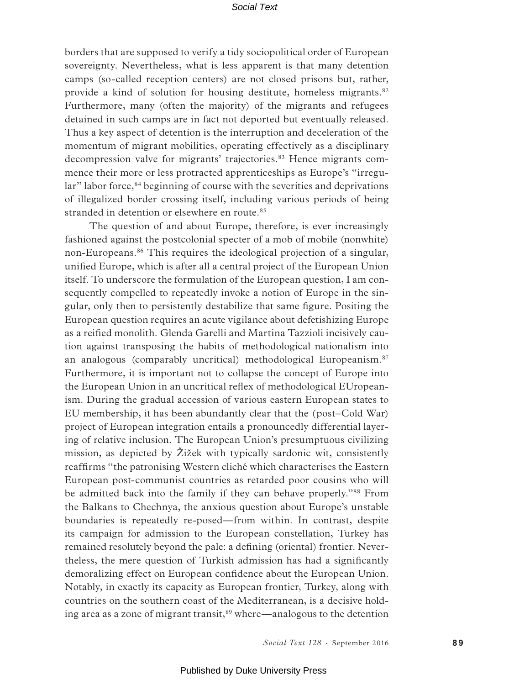borders that are supposed to verify a tidy sociopolitical order of European sovereignty. Nevertheless, what is less apparent is that many detention camps (so-called reception centers) are not closed prisons but, rather, provide a kind of solution for housing destitute, homeless migrants.<sup>82</sup> Furthermore, many (often the majority) of the migrants and refugees detained in such camps are in fact not deported but eventually released. Thus a key aspect of detention is the interruption and deceleration of the momentum of migrant mobilities, operating effectively as a disciplinary decompression valve for migrants' trajectories.<sup>83</sup> Hence migrants commence their more or less protracted apprenticeships as Europe's "irregular" labor force,<sup>84</sup> beginning of course with the severities and deprivations of illegalized border crossing itself, including various periods of being stranded in detention or elsewhere en route.<sup>85</sup>

The question of and about Europe, therefore, is ever increasingly fashioned against the postcolonial specter of a mob of mobile (nonwhite) non-Europeans.<sup>86</sup> This requires the ideological projection of a singular, unified Europe, which is after all a central project of the European Union itself. To underscore the formulation of the European question, I am consequently compelled to repeatedly invoke a notion of Europe in the singular, only then to persistently destabilize that same figure. Positing the European question requires an acute vigilance about defetishizing Europe as a reified monolith. Glenda Garelli and Martina Tazzioli incisively caution against transposing the habits of methodological nationalism into an analogous (comparably uncritical) methodological Europeanism.<sup>87</sup> Furthermore, it is important not to collapse the concept of Europe into the European Union in an uncritical reflex of methodological EUropeanism. During the gradual accession of various eastern European states to EU membership, it has been abundantly clear that the (post–Cold War) project of European integration entails a pronouncedly differential layering of relative inclusion. The European Union's presumptuous civilizing mission, as depicted by Žižek with typically sardonic wit, consistently reaffirms "the patronising Western cliché which characterises the Eastern European post-communist countries as retarded poor cousins who will be admitted back into the family if they can behave properly."88 From the Balkans to Chechnya, the anxious question about Europe's unstable boundaries is repeatedly re-posed—from within. In contrast, despite its campaign for admission to the European constellation, Turkey has remained resolutely beyond the pale: a defining (oriental) frontier. Nevertheless, the mere question of Turkish admission has had a significantly demoralizing effect on European confidence about the European Union. Notably, in exactly its capacity as European frontier, Turkey, along with countries on the southern coast of the Mediterranean, is a decisive holding area as a zone of migrant transit,  $89$  where—analogous to the detention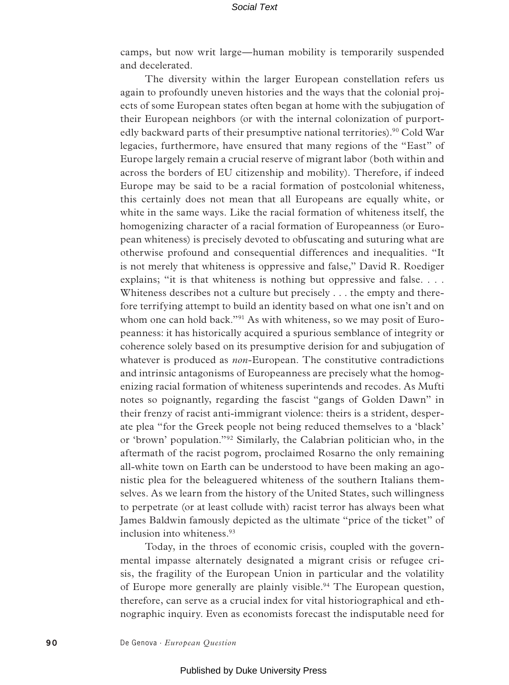camps, but now writ large—human mobility is temporarily suspended and decelerated.

The diversity within the larger European constellation refers us again to profoundly uneven histories and the ways that the colonial projects of some European states often began at home with the subjugation of their European neighbors (or with the internal colonization of purportedly backward parts of their presumptive national territories).<sup>90</sup> Cold War legacies, furthermore, have ensured that many regions of the "East" of Europe largely remain a crucial reserve of migrant labor (both within and across the borders of EU citizenship and mobility). Therefore, if indeed Europe may be said to be a racial formation of postcolonial whiteness, this certainly does not mean that all Europeans are equally white, or white in the same ways. Like the racial formation of whiteness itself, the homogenizing character of a racial formation of Europeanness (or European whiteness) is precisely devoted to obfuscating and suturing what are otherwise profound and consequential differences and inequalities. "It is not merely that whiteness is oppressive and false," David R. Roediger explains; "it is that whiteness is nothing but oppressive and false. . . . Whiteness describes not a culture but precisely . . . the empty and therefore terrifying attempt to build an identity based on what one isn't and on whom one can hold back."91 As with whiteness, so we may posit of Europeanness: it has historically acquired a spurious semblance of integrity or coherence solely based on its presumptive derision for and subjugation of whatever is produced as *non-*European. The constitutive contradictions and intrinsic antagonisms of Europeanness are precisely what the homogenizing racial formation of whiteness superintends and recodes. As Mufti notes so poignantly, regarding the fascist "gangs of Golden Dawn" in their frenzy of racist anti-immigrant violence: theirs is a strident, desperate plea "for the Greek people not being reduced themselves to a 'black' or 'brown' population."92 Similarly, the Calabrian politician who, in the aftermath of the racist pogrom, proclaimed Rosarno the only remaining all-white town on Earth can be understood to have been making an agonistic plea for the beleaguered whiteness of the southern Italians themselves. As we learn from the history of the United States, such willingness to perpetrate (or at least collude with) racist terror has always been what James Baldwin famously depicted as the ultimate "price of the ticket" of inclusion into whiteness.93

Today, in the throes of economic crisis, coupled with the governmental impasse alternately designated a migrant crisis or refugee crisis, the fragility of the European Union in particular and the volatility of Europe more generally are plainly visible.<sup>94</sup> The European question, therefore, can serve as a crucial index for vital historiographical and ethnographic inquiry. Even as economists forecast the indisputable need for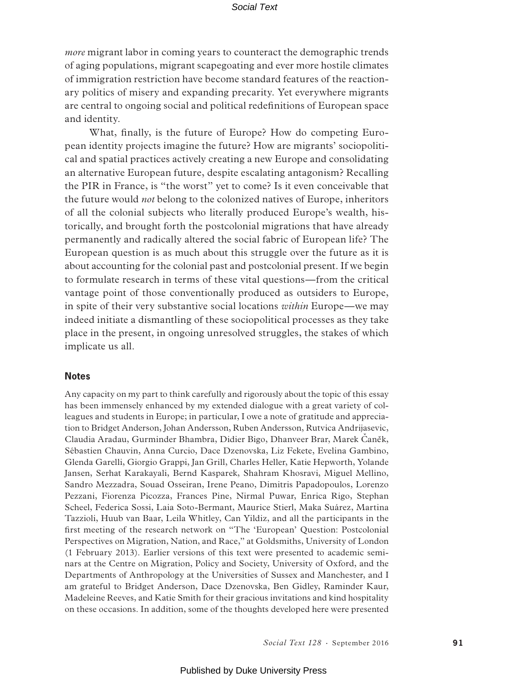*more* migrant labor in coming years to counteract the demographic trends of aging populations, migrant scapegoating and ever more hostile climates of immigration restriction have become standard features of the reactionary politics of misery and expanding precarity. Yet everywhere migrants are central to ongoing social and political redefinitions of European space and identity.

What, finally, is the future of Europe? How do competing European identity projects imagine the future? How are migrants' sociopolitical and spatial practices actively creating a new Europe and consolidating an alternative European future, despite escalating antagonism? Recalling the PIR in France, is "the worst" yet to come? Is it even conceivable that the future would *not* belong to the colonized natives of Europe, inheritors of all the colonial subjects who literally produced Europe's wealth, historically, and brought forth the postcolonial migrations that have already permanently and radically altered the social fabric of European life? The European question is as much about this struggle over the future as it is about accounting for the colonial past and postcolonial present. If we begin to formulate research in terms of these vital questions—from the critical vantage point of those conventionally produced as outsiders to Europe, in spite of their very substantive social locations *within* Europe—we may indeed initiate a dismantling of these sociopolitical processes as they take place in the present, in ongoing unresolved struggles, the stakes of which implicate us all.

# **Notes**

Any capacity on my part to think carefully and rigorously about the topic of this essay has been immensely enhanced by my extended dialogue with a great variety of colleagues and students in Europe; in particular, I owe a note of gratitude and appreciation to Bridget Anderson, Johan Andersson, Ruben Andersson, Rutvica Andrijasevic, Claudia Aradau, Gurminder Bhambra, Didier Bigo, Dhanveer Brar, Marek Čaněk, Sébastien Chauvin, Anna Curcio, Dace Dzenovska, Liz Fekete, Evelina Gambino, Glenda Garelli, Giorgio Grappi, Jan Grill, Charles Heller, Katie Hepworth, Yolande Jansen, Serhat Karakayali, Bernd Kasparek, Shahram Khosravi, Miguel Mellino, Sandro Mezzadra, Souad Osseiran, Irene Peano, Dimitris Papadopoulos, Lorenzo Pezzani, Fiorenza Picozza, Frances Pine, Nirmal Puwar, Enrica Rigo, Stephan Scheel, Federica Sossi, Laia Soto-Bermant, Maurice Stierl, Maka Suárez, Martina Tazzioli, Huub van Baar, Leila Whitley, Can Yildiz, and all the participants in the first meeting of the research network on "The 'European' Question: Postcolonial Perspectives on Migration, Nation, and Race," at Goldsmiths, University of London (1 February 2013). Earlier versions of this text were presented to academic seminars at the Centre on Migration, Policy and Society, University of Oxford, and the Departments of Anthropology at the Universities of Sussex and Manchester, and I am grateful to Bridget Anderson, Dace Dzenovska, Ben Gidley, Raminder Kaur, Madeleine Reeves, and Katie Smith for their gracious invitations and kind hospitality on these occasions. In addition, some of the thoughts developed here were presented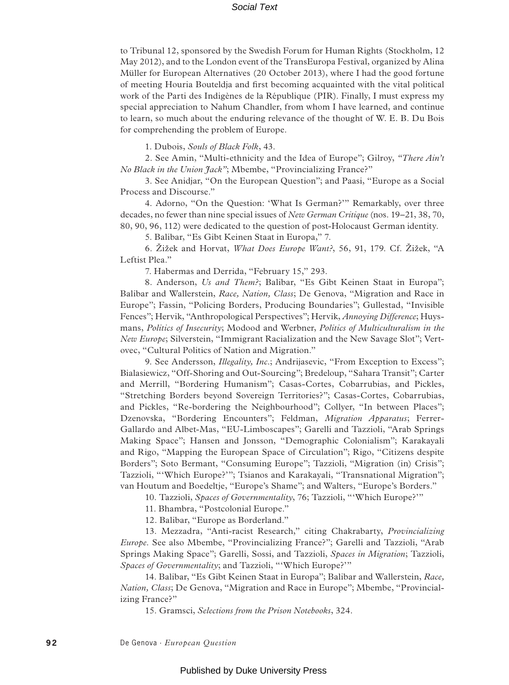to Tribunal 12, sponsored by the Swedish Forum for Human Rights (Stockholm, 12 May 2012), and to the London event of the TransEuropa Festival, organized by Alina Müller for European Alternatives (20 October 2013), where I had the good fortune of meeting Houria Bouteldja and first becoming acquainted with the vital political work of the Parti des Indigènes de la République (PIR). Finally, I must express my special appreciation to Nahum Chandler, from whom I have learned, and continue to learn, so much about the enduring relevance of the thought of W. E. B. Du Bois for comprehending the problem of Europe.

1. Dubois, *Souls of Black Folk*, 43.

2. See Amin, "Multi-ethnicity and the Idea of Europe"; Gilroy, *"There Ain't No Black in the Union Jack"*; Mbembe, "Provincializing France?"

3. See Anidjar, "On the European Question"; and Paasi, "Europe as a Social Process and Discourse."

4. Adorno, "On the Question: 'What Is German?'" Remarkably, over three decades, no fewer than nine special issues of *New German Critique* (nos. 19–21, 38, 70, 80, 90, 96, 112) were dedicated to the question of post-Holocaust German identity.

5. Balibar, "Es Gibt Keinen Staat in Europa," 7.

6. Žižek and Horvat, *What Does Europe Want?*, 56, 91, 179. Cf. Žižek, "A Leftist Plea."

7. Habermas and Derrida, "February 15," 293.

8. Anderson, *Us and Them?*; Balibar, "Es Gibt Keinen Staat in Europa"; Balibar and Wallerstein, *Race, Nation, Class*; De Genova, "Migration and Race in Europe"; Fassin, "Policing Borders, Producing Boundaries"; Gullestad, "Invisible Fences"; Hervik, "Anthropological Perspectives"; Hervik, *Annoying Difference*; Huysmans, *Politics of Insecurity*; Modood and Werbner, *Politics of Multiculturalism in the New Europe*; Silverstein, "Immigrant Racialization and the New Savage Slot"; Vertovec, "Cultural Politics of Nation and Migration."

9. See Andersson, *Illegality, Inc.*; Andrijasevic, "From Exception to Excess"; Bialasiewicz, "Off-Shoring and Out-Sourcing"; Bredeloup, "Sahara Transit"; Carter and Merrill, "Bordering Humanism"; Casas-Cortes, Cobarrubias, and Pickles, "Stretching Borders beyond Sovereign Territories?"; Casas-Cortes, Cobarrubias, and Pickles, "Re-bordering the Neighbourhood"; Collyer, "In between Places"; Dzenovska, "Bordering Encounters"; Feldman, *Migration Apparatus*; Ferrer-Gallardo and Albet-Mas, "EU-Limboscapes"; Garelli and Tazzioli, "Arab Springs Making Space"; Hansen and Jonsson, "Demographic Colonialism"; Karakayali and Rigo, "Mapping the European Space of Circulation"; Rigo, "Citizens despite Borders"; Soto Bermant, "Consuming Europe"; Tazzioli, "Migration (in) Crisis"; Tazzioli, "'Which Europe?'"; Tsianos and Karakayali, "Transnational Migration"; van Houtum and Boedeltje, "Europe's Shame"; and Walters, "Europe's Borders."

10. Tazzioli, *Spaces of Governmentality*, 76; Tazzioli, "'Which Europe?'"

11. Bhambra, "Postcolonial Europe."

12. Balibar, "Europe as Borderland."

13. Mezzadra, "Anti-racist Research," citing Chakrabarty, *Provincializing Europe*. See also Mbembe, "Provincializing France?"; Garelli and Tazzioli, "Arab Springs Making Space"; Garelli, Sossi, and Tazzioli, *Spaces in Migration*; Tazzioli, *Spaces of Governmentality*; and Tazzioli, "'Which Europe?'"

14. Balibar, "Es Gibt Keinen Staat in Europa"; Balibar and Wallerstein, *Race, Nation, Class*; De Genova, "Migration and Race in Europe"; Mbembe, "Provincializing France?"

15. Gramsci, *Selections from the Prison Notebooks*, 324.

**92** De Genova · *European Question*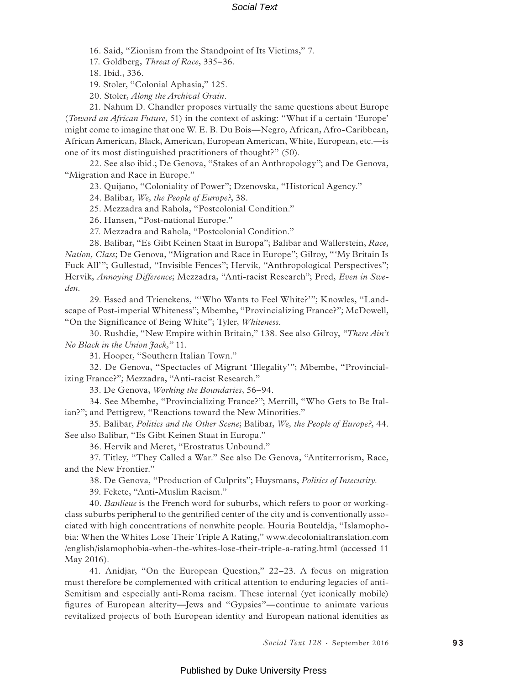16. Said, "Zionism from the Standpoint of Its Victims," 7.

17. Goldberg, *Threat of Race*, 335–36.

18. Ibid., 336.

19. Stoler, "Colonial Aphasia," 125.

20. Stoler, *Along the Archival Grain*.

21. Nahum D. Chandler proposes virtually the same questions about Europe (*Toward an African Future*, 51) in the context of asking: "What if a certain 'Europe' might come to imagine that one W. E. B. Du Bois—Negro, African, Afro-Caribbean, African American, Black, American, European American, White, European, etc.—is one of its most distinguished practitioners of thought?" (50).

22. See also ibid.; De Genova, "Stakes of an Anthropology"; and De Genova, "Migration and Race in Europe."

23. Quijano, "Coloniality of Power"; Dzenovska, "Historical Agency."

24. Balibar, *We, the People of Europe?*, 38.

25. Mezzadra and Rahola, "Postcolonial Condition."

26. Hansen, "Post-national Europe."

27. Mezzadra and Rahola, "Postcolonial Condition."

28. Balibar, "Es Gibt Keinen Staat in Europa"; Balibar and Wallerstein, *Race, Nation, Class*; De Genova, "Migration and Race in Europe"; Gilroy, "'My Britain Is Fuck All'"; Gullestad, "Invisible Fences"; Hervik, "Anthropological Perspectives"; Hervik, *Annoying Difference*; Mezzadra, "Anti-racist Research"; Pred, *Even in Sweden*.

29. Essed and Trienekens, "'Who Wants to Feel White?'"; Knowles, "Landscape of Post-imperial Whiteness"; Mbembe, "Provincializing France?"; McDowell, "On the Significance of Being White"; Tyler, *Whiteness*.

30. Rushdie, "New Empire within Britain," 138. See also Gilroy, *"There Ain't No Black in the Union Jack,"* 11.

31. Hooper, "Southern Italian Town."

32. De Genova, "Spectacles of Migrant 'Illegality'"; Mbembe, "Provincializing France?"; Mezzadra, "Anti-racist Research."

33. De Genova, *Working the Boundaries*, 56–94.

34. See Mbembe, "Provincializing France?"; Merrill, "Who Gets to Be Italian?"; and Pettigrew, "Reactions toward the New Minorities."

35. Balibar, *Politics and the Other Scene*; Balibar, *We, the People of Europe?*, 44. See also Balibar, "Es Gibt Keinen Staat in Europa."

36. Hervik and Meret, "Erostratus Unbound."

37. Titley, "They Called a War." See also De Genova, "Antiterrorism, Race, and the New Frontier."

38. De Genova, "Production of Culprits"; Huysmans, *Politics of Insecurity*.

39. Fekete, "Anti-Muslim Racism."

40. *Banlieue* is the French word for suburbs, which refers to poor or workingclass suburbs peripheral to the gentrified center of the city and is conventionally associated with high concentrations of nonwhite people. Houria Bouteldja, "Islamophobia: When the Whites Lose Their Triple A Rating," www.decolonialtranslation.com /english/islamophobia-when-the-whites-lose-their-triple-a-rating.html (accessed 11 May 2016).

41. Anidjar, "On the European Question," 22–23. A focus on migration must therefore be complemented with critical attention to enduring legacies of anti-Semitism and especially anti-Roma racism. These internal (yet iconically mobile) figures of European alterity—Jews and "Gypsies"—continue to animate various revitalized projects of both European identity and European national identities as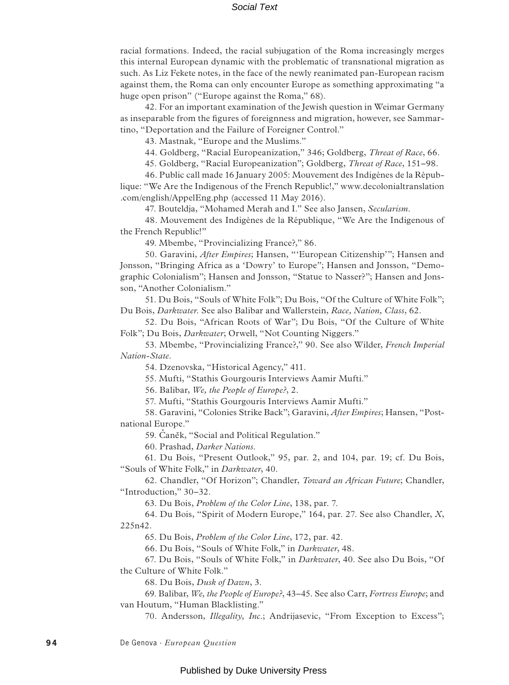racial formations. Indeed, the racial subjugation of the Roma increasingly merges this internal European dynamic with the problematic of transnational migration as such. As Liz Fekete notes, in the face of the newly reanimated pan-European racism against them, the Roma can only encounter Europe as something approximating "a huge open prison" ("Europe against the Roma," 68).

42. For an important examination of the Jewish question in Weimar Germany as inseparable from the figures of foreignness and migration, however, see Sammartino, "Deportation and the Failure of Foreigner Control."

43. Mastnak, "Europe and the Muslims."

44. Goldberg, "Racial Europeanization," 346; Goldberg, *Threat of Race*, 66.

45. Goldberg, "Racial Europeanization"; Goldberg, *Threat of Race*, 151–98.

46. Public call made 16 January 2005: Mouvement des Indigènes de la République: "We Are the Indigenous of the French Republic!," www.decolonialtranslation .com/english/AppelEng.php (accessed 11 May 2016).

47. Bouteldja, "Mohamed Merah and I." See also Jansen, *Secularism*.

48. Mouvement des Indigènes de la République, "We Are the Indigenous of the French Republic!"

49. Mbembe, "Provincializing France?," 86.

50. Garavini, *After Empires*; Hansen, "'European Citizenship'"; Hansen and Jonsson, "Bringing Africa as a 'Dowry' to Europe"; Hansen and Jonsson, "Demographic Colonialism"; Hansen and Jonsson, "Statue to Nasser?"; Hansen and Jonsson, "Another Colonialism."

51. Du Bois, "Souls of White Folk"; Du Bois, "Of the Culture of White Folk"; Du Bois, *Darkwater*. See also Balibar and Wallerstein, *Race, Nation, Class*, 62.

52. Du Bois, "African Roots of War"; Du Bois, "Of the Culture of White Folk"; Du Bois, *Darkwater*; Orwell, "Not Counting Niggers."

53. Mbembe, "Provincializing France?," 90. See also Wilder, *French Imperial Nation-State*.

54. Dzenovska, "Historical Agency," 411.

55. Mufti, "Stathis Gourgouris Interviews Aamir Mufti."

56. Balibar, *We, the People of Europe?*, 2.

57. Mufti, "Stathis Gourgouris Interviews Aamir Mufti."

58. Garavini, "Colonies Strike Back"; Garavini, *After Empires*; Hansen, "Postnational Europe."

59. Caněk, "Social and Political Regulation."

60. Prashad, *Darker Nations*.

61. Du Bois, "Present Outlook," 95, par. 2, and 104, par. 19; cf. Du Bois, "Souls of White Folk," in *Darkwater*, 40.

62. Chandler, "Of Horizon"; Chandler, *Toward an African Future*; Chandler, "Introduction," 30–32.

63. Du Bois, *Problem of the Color Line*, 138, par. 7.

64. Du Bois, "Spirit of Modern Europe," 164, par. 27. See also Chandler, *X*, 225n42.

65. Du Bois, *Problem of the Color Line*, 172, par. 42.

66. Du Bois, "Souls of White Folk," in *Darkwater*, 48.

67. Du Bois, "Souls of White Folk," in *Darkwater*, 40. See also Du Bois, "Of the Culture of White Folk."

68. Du Bois, *Dusk of Dawn*, 3.

69. Balibar, *We, the People of Europe?*, 43–45. See also Carr, *Fortress Europe*; and van Houtum, "Human Blacklisting."

70. Andersson, *Illegality, Inc.*; Andrijasevic, "From Exception to Excess";

**9 4** De Genova · *European Question*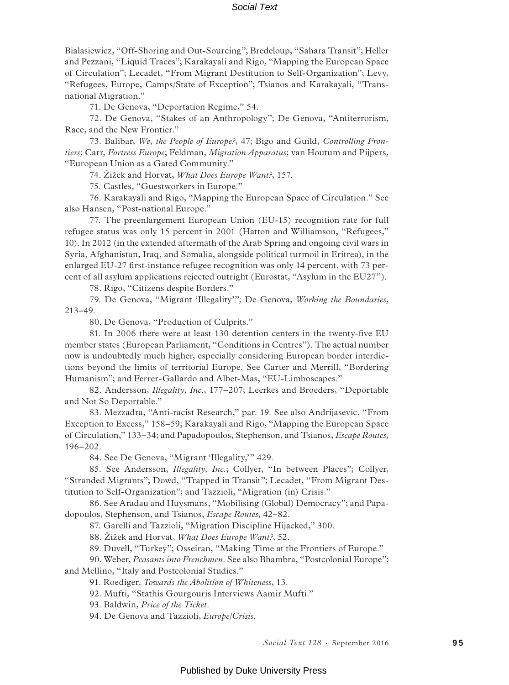Bialasiewicz, "Off-Shoring and Out-Sourcing"; Bredeloup, "Sahara Transit"; Heller and Pezzani, "Liquid Traces"; Karakayali and Rigo, "Mapping the European Space of Circulation"; Lecadet, "From Migrant Destitution to Self-Organization"; Levy, "Refugees, Europe, Camps/State of Exception"; Tsianos and Karakayali, "Transnational Migration."

71. De Genova, "Deportation Regime," 54.

72. De Genova, "Stakes of an Anthropology"; De Genova, "Antiterrorism, Race, and the New Frontier."

73. Balibar, *We, the People of Europe?*, 47; Bigo and Guild, *Controlling Frontiers*; Carr, *Fortress Europe*; Feldman, *Migration Apparatus*; van Houtum and Pijpers, "European Union as a Gated Community."

74. Žižek and Horvat, *What Does Europe Want?*, 157.

75. Castles, "Guestworkers in Europe."

76. Karakayali and Rigo, "Mapping the European Space of Circulation." See also Hansen, "Post-national Europe."

77. The preenlargement European Union (EU-15) recognition rate for full refugee status was only 15 percent in 2001 (Hatton and Williamson, "Refugees," 10). In 2012 (in the extended aftermath of the Arab Spring and ongoing civil wars in Syria, Afghanistan, Iraq, and Somalia, alongside political turmoil in Eritrea), in the enlarged EU-27 first-instance refugee recognition was only 14 percent, with 73 percent of all asylum applications rejected outright (Eurostat, "Asylum in the EU27").

78. Rigo, "Citizens despite Borders."

79. De Genova, "Migrant 'Illegality'"; De Genova, *Working the Boundaries*, 213–49.

80. De Genova, "Production of Culprits."

81. In 2006 there were at least 130 detention centers in the twenty-five EU member states (European Parliament, "Conditions in Centres"). The actual number now is undoubtedly much higher, especially considering European border interdictions beyond the limits of territorial Europe. See Carter and Merrill, "Bordering Humanism"; and Ferrer-Gallardo and Albet-Mas, "EU-Limboscapes."

82. Andersson, *Illegality, Inc.*, 177–207; Leerkes and Broeders, "Deportable and Not So Deportable."

83. Mezzadra, "Anti-racist Research," par. 19. See also Andrijasevic, "From Exception to Excess," 158–59; Karakayali and Rigo, "Mapping the European Space of Circulation," 133–34; and Papadopoulos, Stephenson, and Tsianos, *Escape Routes*, 196–202.

84. See De Genova, "Migrant 'Illegality,'" 429.

85. See Andersson, *Illegality, Inc.*; Collyer, "In between Places"; Collyer, "Stranded Migrants"; Dowd, "Trapped in Transit"; Lecadet, "From Migrant Destitution to Self-Organization"; and Tazzioli, "Migration (in) Crisis."

86. See Aradau and Huysmans, "Mobilising (Global) Democracy"; and Papadopoulos, Stephenson, and Tsianos, *Escape Routes*, 42–82.

87. Garelli and Tazzioli, "Migration Discipline Hijacked," 300.

88. Žižek and Horvat, *What Does Europe Want?*, 52.

89. Düvell, "Turkey"; Osseiran, "Making Time at the Frontiers of Europe."

90. Weber, *Peasants into Frenchmen*. See also Bhambra, "Postcolonial Europe";

and Mellino, "Italy and Postcolonial Studies."

91. Roediger, *Towards the Abolition of Whiteness*, 13.

92. Mufti, "Stathis Gourgouris Interviews Aamir Mufti."

93. Baldwin, *Price of the Ticket*.

94. De Genova and Tazzioli, *Europe/Crisis*.

De Genova · *European Question Social Text 128* • September 2016 **9 5**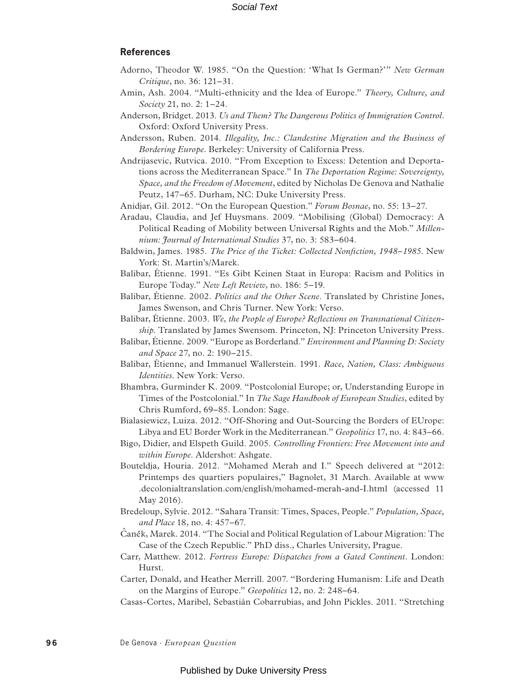# **References**

- Adorno, Theodor W. 1985. "On the Question: 'What Is German?'" *New German Critique*, no. 36: 121–31.
- Amin, Ash. 2004. "Multi-ethnicity and the Idea of Europe." *Theory, Culture, and Society* 21, no. 2: 1–24.
- Anderson, Bridget. 2013. *Us and Them? The Dangerous Politics of Immigration Control*. Oxford: Oxford University Press.
- Andersson, Ruben. 2014. *Illegality, Inc.: Clandestine Migration and the Business of Bordering Europe*. Berkeley: University of California Press.
- Andrijasevic, Rutvica. 2010. "From Exception to Excess: Detention and Deportations across the Mediterranean Space." In *The Deportation Regime: Sovereignty, Space, and the Freedom of Movement*, edited by Nicholas De Genova and Nathalie Peutz, 147–65. Durham, NC: Duke University Press.
- Anidjar, Gil. 2012. "On the European Question." *Forum Bosnae*, no. 55: 13–27.
- Aradau, Claudia, and Jef Huysmans. 2009. "Mobilising (Global) Democracy: A Political Reading of Mobility between Universal Rights and the Mob." *Millennium: Journal of International Studies* 37, no. 3: 583–604.
- Baldwin, James. 1985. *The Price of the Ticket: Collected Nonfiction, 1948–1985*. New York: St. Martin's/Marek.
- Balibar, Étienne. 1991. "Es Gibt Keinen Staat in Europa: Racism and Politics in Europe Today." *New Left Review*, no. 186: 5–19.
- Balibar, Étienne. 2002. *Politics and the Other Scene*. Translated by Christine Jones, James Swenson, and Chris Turner. New York: Verso.
- Balibar, Étienne. 2003. *We, the People of Europe? Reflections on Transnational Citizenship*. Translated by James Swensom. Princeton, NJ: Princeton University Press.
- Balibar, Étienne. 2009. "Europe as Borderland." *Environment and Planning D: Society and Space* 27, no. 2: 190–215.
- Balibar, Étienne, and Immanuel Wallerstein. 1991. *Race, Nation, Class: Ambiguous Identities*. New York: Verso.
- Bhambra, Gurminder K. 2009. "Postcolonial Europe; or, Understanding Europe in Times of the Postcolonial." In *The Sage Handbook of European Studies*, edited by Chris Rumford, 69–85. London: Sage.
- Bialasiewicz, Luiza. 2012. "Off-Shoring and Out-Sourcing the Borders of EUrope: Libya and EU Border Work in the Mediterranean." *Geopolitics* 17, no. 4: 843–66.
- Bigo, Didier, and Elspeth Guild. 2005. *Controlling Frontiers: Free Movement into and within Europe*. Aldershot: Ashgate.
- Bouteldja, Houria. 2012. "Mohamed Merah and I." Speech delivered at "2012: Printemps des quartiers populaires," Bagnolet, 31 March. Available at www .decolonialtranslation.com/english/mohamed-merah-and-I.html (accessed 11 May 2016).
- Bredeloup, Sylvie. 2012. "Sahara Transit: Times, Spaces, People." *Population, Space, and Place* 18, no. 4: 457–67.
- Canĕk, Marek. 2014. "The Social and Political Regulation of Labour Migration: The Case of the Czech Republic." PhD diss., Charles University, Prague.
- Carr, Matthew. 2012. *Fortress Europe: Dispatches from a Gated Continent*. London: Hurst.
- Carter, Donald, and Heather Merrill. 2007. "Bordering Humanism: Life and Death on the Margins of Europe." *Geopolitics* 12, no. 2: 248–64.
- Casas-Cortes, Maribel, Sebastián Cobarrubias, and John Pickles. 2011. "Stretching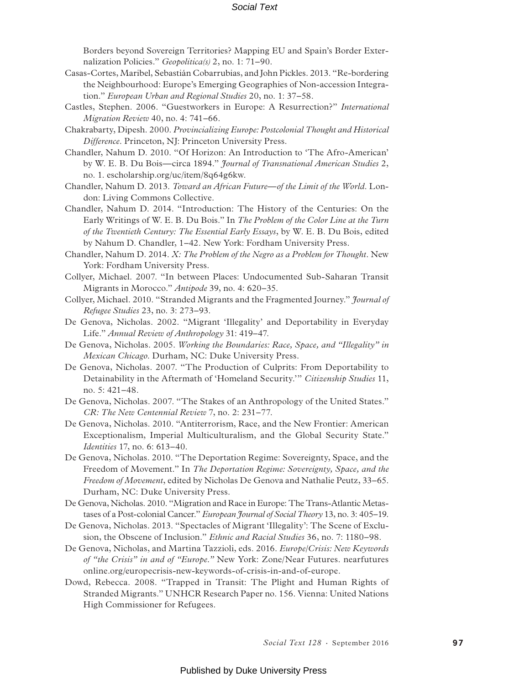Borders beyond Sovereign Territories? Mapping EU and Spain's Border Externalization Policies." *Geopolitica(s)* 2, no. 1: 71–90.

- Casas-Cortes, Maribel, Sebastián Cobarrubias, and John Pickles. 2013. "Re-bordering the Neighbourhood: Europe's Emerging Geographies of Non-accession Integration." *European Urban and Regional Studies* 20, no. 1: 37–58.
- Castles, Stephen. 2006. "Guestworkers in Europe: A Resurrection?" *International Migration Review* 40, no. 4: 741–66.
- Chakrabarty, Dipesh. 2000. *Provincializing Europe: Postcolonial Thought and Historical Difference*. Princeton, NJ: Princeton University Press.
- Chandler, Nahum D. 2010. "Of Horizon: An Introduction to 'The Afro-American' by W. E. B. Du Bois—circa 1894." *Journal of Transnational American Studies* 2, no. 1. escholarship.org/uc/item/8q64g6kw.
- Chandler, Nahum D. 2013. *Toward an African Future—of the Limit of the World*. London: Living Commons Collective.
- Chandler, Nahum D. 2014. "Introduction: The History of the Centuries: On the Early Writings of W. E. B. Du Bois." In *The Problem of the Color Line at the Turn of the Twentieth Century: The Essential Early Essays*, by W. E. B. Du Bois, edited by Nahum D. Chandler, 1–42. New York: Fordham University Press.
- Chandler, Nahum D. 2014. *X: The Problem of the Negro as a Problem for Thought*. New York: Fordham University Press.
- Collyer, Michael. 2007. "In between Places: Undocumented Sub-Saharan Transit Migrants in Morocco." *Antipode* 39, no. 4: 620–35.
- Collyer, Michael. 2010. "Stranded Migrants and the Fragmented Journey." *Journal of Refugee Studies* 23, no. 3: 273–93.
- De Genova, Nicholas. 2002. "Migrant 'Illegality' and Deportability in Everyday Life." *Annual Review of Anthropology* 31: 419–47.
- De Genova, Nicholas. 2005. *Working the Boundaries: Race, Space, and "Illegality" in Mexican Chicago*. Durham, NC: Duke University Press.
- De Genova, Nicholas. 2007. "The Production of Culprits: From Deportability to Detainability in the Aftermath of 'Homeland Security.'" *Citizenship Studies* 11, no. 5: 421–48.
- De Genova, Nicholas. 2007. "The Stakes of an Anthropology of the United States." *CR: The New Centennial Review* 7, no. 2: 231–77.
- De Genova, Nicholas. 2010. "Antiterrorism, Race, and the New Frontier: American Exceptionalism, Imperial Multiculturalism, and the Global Security State." *Identities* 17, no. 6: 613–40.
- De Genova, Nicholas. 2010. "The Deportation Regime: Sovereignty, Space, and the Freedom of Movement." In *The Deportation Regime: Sovereignty, Space, and the Freedom of Movement*, edited by Nicholas De Genova and Nathalie Peutz, 33–65. Durham, NC: Duke University Press.
- De Genova, Nicholas. 2010. "Migration and Race in Europe: The Trans-Atlantic Metastases of a Post-colonial Cancer." *European Journal of Social Theory* 13, no. 3: 405–19.
- De Genova, Nicholas. 2013. "Spectacles of Migrant 'Illegality': The Scene of Exclusion, the Obscene of Inclusion." *Ethnic and Racial Studies* 36, no. 7: 1180–98.
- De Genova, Nicholas, and Martina Tazzioli, eds. 2016. *Europe/Crisis: New Keywords of "the Crisis" in and of "Europe."* New York: Zone/Near Futures. nearfutures online.org/europecrisis-new-keywords-of-crisis-in-and-of-europe.
- Dowd, Rebecca. 2008. "Trapped in Transit: The Plight and Human Rights of Stranded Migrants." UNHCR Research Paper no. 156. Vienna: United Nations High Commissioner for Refugees.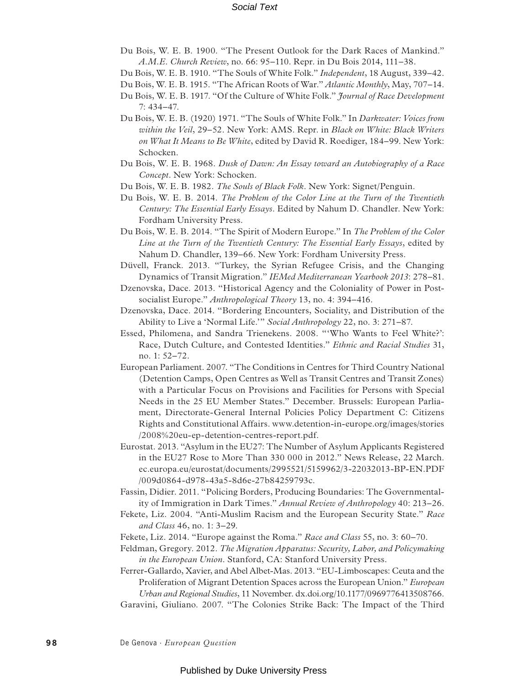- Du Bois, W. E. B. 1900. "The Present Outlook for the Dark Races of Mankind." *A.M.E*. *Church Review*, no. 66: 95–110. Repr. in Du Bois 2014, 111–38.
- Du Bois, W. E. B. 1910. "The Souls of White Folk." *Independent*, 18 August, 339–42.
- Du Bois, W. E. B. 1915. "The African Roots of War." *Atlantic Monthly*, May, 707–14.
- Du Bois, W. E. B. 1917. "Of the Culture of White Folk." *Journal of Race Development* 7: 434–47.
- Du Bois, W. E. B. (1920) 1971. "The Souls of White Folk." In *Darkwater: Voices from within the Veil*, 29–52. New York: AMS. Repr. in *Black on White: Black Writers on What It Means to Be White*, edited by David R. Roediger, 184–99. New York: Schocken.
- Du Bois, W. E. B. 1968. *Dusk of Dawn: An Essay toward an Autobiography of a Race Concept*. New York: Schocken.
- Du Bois, W. E. B. 1982. *The Souls of Black Folk*. New York: Signet/Penguin.
- Du Bois, W. E. B. 2014. *The Problem of the Color Line at the Turn of the Twentieth Century: The Essential Early Essays*. Edited by Nahum D. Chandler. New York: Fordham University Press.
- Du Bois, W. E. B. 2014. "The Spirit of Modern Europe." In *The Problem of the Color Line at the Turn of the Twentieth Century: The Essential Early Essays*, edited by Nahum D. Chandler, 139–66. New York: Fordham University Press.
- Düvell, Franck. 2013. "Turkey, the Syrian Refugee Crisis, and the Changing Dynamics of Transit Migration." *IEMed Mediterranean Yearbook 2013*: 278–81.
- Dzenovska, Dace. 2013. "Historical Agency and the Coloniality of Power in Postsocialist Europe." *Anthropological Theory* 13, no. 4: 394–416.
- Dzenovska, Dace. 2014. "Bordering Encounters, Sociality, and Distribution of the Ability to Live a 'Normal Life.'" *Social Anthropology* 22, no. 3: 271–87.
- Essed, Philomena, and Sandra Trienekens. 2008. "'Who Wants to Feel White?': Race, Dutch Culture, and Contested Identities." *Ethnic and Racial Studies* 31, no. 1: 52–72.
- European Parliament. 2007. "The Conditions in Centres for Third Country National (Detention Camps, Open Centres as Well as Transit Centres and Transit Zones) with a Particular Focus on Provisions and Facilities for Persons with Special Needs in the 25 EU Member States." December. Brussels: European Parliament, Directorate-General Internal Policies Policy Department C: Citizens Rights and Constitutional Affairs. www.detention-in-europe.org/images/stories /2008%20eu-ep-detention-centres-report.pdf.
- Eurostat. 2013. "Asylum in the EU27: The Number of Asylum Applicants Registered in the EU27 Rose to More Than 330 000 in 2012." News Release, 22 March. ec.europa.eu/eurostat/documents/2995521/5159962/3-22032013-BP-EN.PDF /009d0864-d978-43a5-8d6e-27b84259793c.
- Fassin, Didier. 2011. "Policing Borders, Producing Boundaries: The Governmentality of Immigration in Dark Times." *Annual Review of Anthropology* 40: 213–26.
- Fekete, Liz. 2004. "Anti-Muslim Racism and the European Security State." *Race and Class* 46, no. 1: 3–29.
- Fekete, Liz. 2014. "Europe against the Roma." *Race and Class* 55, no. 3: 60–70.
- Feldman, Gregory. 2012. *The Migration Apparatus: Security, Labor, and Policymaking in the European Union*. Stanford, CA: Stanford University Press.

Ferrer-Gallardo, Xavier, and Abel Albet-Mas. 2013. "EU-Limboscapes: Ceuta and the Proliferation of Migrant Detention Spaces across the European Union." *European Urban and Regional Studies*, 11 November. dx.doi.org/10.1177/0969776413508766.

Garavini, Giuliano. 2007. "The Colonies Strike Back: The Impact of the Third

**9 8** De Genova · *European Question*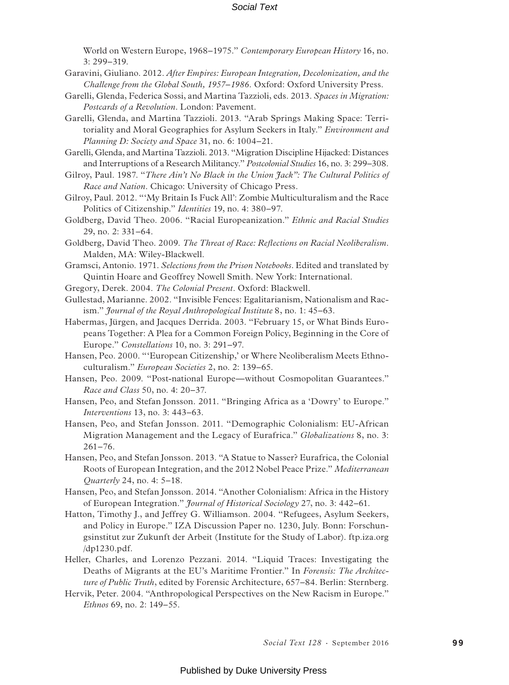World on Western Europe, 1968–1975." *Contemporary European History* 16, no. 3: 299–319.

- Garavini, Giuliano. 2012. *After Empires: European Integration, Decolonization, and the Challenge from the Global South, 1957–1986*. Oxford: Oxford University Press.
- Garelli, Glenda, Federica Sossi, and Martina Tazzioli, eds. 2013. *Spaces in Migration: Postcards of a Revolution*. London: Pavement.
- Garelli, Glenda, and Martina Tazzioli. 2013. "Arab Springs Making Space: Territoriality and Moral Geographies for Asylum Seekers in Italy." *Environment and Planning D: Society and Space* 31, no. 6: 1004–21.
- Garelli, Glenda, and Martina Tazzioli. 2013. "Migration Discipline Hijacked: Distances and Interruptions of a Research Militancy." *Postcolonial Studies* 16, no. 3: 299–308.
- Gilroy, Paul. 1987. "*There Ain't No Black in the Union Jack": The Cultural Politics of Race and Nation*. Chicago: University of Chicago Press.
- Gilroy, Paul. 2012. "'My Britain Is Fuck All': Zombie Multiculturalism and the Race Politics of Citizenship." *Identities* 19, no. 4: 380–97.
- Goldberg, David Theo. 2006. "Racial Europeanization." *Ethnic and Racial Studies* 29, no. 2: 331–64.
- Goldberg, David Theo. 2009. *The Threat of Race: Reflections on Racial Neoliberalism*. Malden, MA: Wiley-Blackwell.
- Gramsci, Antonio. 1971. *Selections from the Prison Notebooks*. Edited and translated by Quintin Hoare and Geoffrey Nowell Smith. New York: International.
- Gregory, Derek. 2004. *The Colonial Present*. Oxford: Blackwell.
- Gullestad, Marianne. 2002. "Invisible Fences: Egalitarianism, Nationalism and Racism." *Journal of the Royal Anthropological Institute* 8, no. 1: 45–63.
- Habermas, Jürgen, and Jacques Derrida. 2003. "February 15, or What Binds Europeans Together: A Plea for a Common Foreign Policy, Beginning in the Core of Europe." *Constellations* 10, no. 3: 291–97.
- Hansen, Peo. 2000. "'European Citizenship,' or Where Neoliberalism Meets Ethnoculturalism." *European Societies* 2, no. 2: 139–65.
- Hansen, Peo. 2009. "Post-national Europe—without Cosmopolitan Guarantees." *Race and Class* 50, no. 4: 20–37.
- Hansen, Peo, and Stefan Jonsson. 2011. "Bringing Africa as a 'Dowry' to Europe." *Interventions* 13, no. 3: 443–63.
- Hansen, Peo, and Stefan Jonsson. 2011. "Demographic Colonialism: EU-African Migration Management and the Legacy of Eurafrica." *Globalizations* 8, no. 3: 261–76.
- Hansen, Peo, and Stefan Jonsson. 2013. "A Statue to Nasser? Eurafrica, the Colonial Roots of European Integration, and the 2012 Nobel Peace Prize." *Mediterranean Quarterly* 24, no. 4: 5–18.
- Hansen, Peo, and Stefan Jonsson. 2014. "Another Colonialism: Africa in the History of European Integration." *Journal of Historical Sociology* 27, no. 3: 442–61.
- Hatton, Timothy J., and Jeffrey G. Williamson. 2004. "Refugees, Asylum Seekers, and Policy in Europe." IZA Discussion Paper no. 1230, July. Bonn: Forschungsinstitut zur Zukunft der Arbeit (Institute for the Study of Labor). ftp.iza.org /dp1230.pdf.
- Heller, Charles, and Lorenzo Pezzani. 2014. "Liquid Traces: Investigating the Deaths of Migrants at the EU's Maritime Frontier." In *Forensis: The Architecture of Public Truth*, edited by Forensic Architecture, 657–84. Berlin: Sternberg.
- Hervik, Peter. 2004. "Anthropological Perspectives on the New Racism in Europe." *Ethnos* 69, no. 2: 149–55.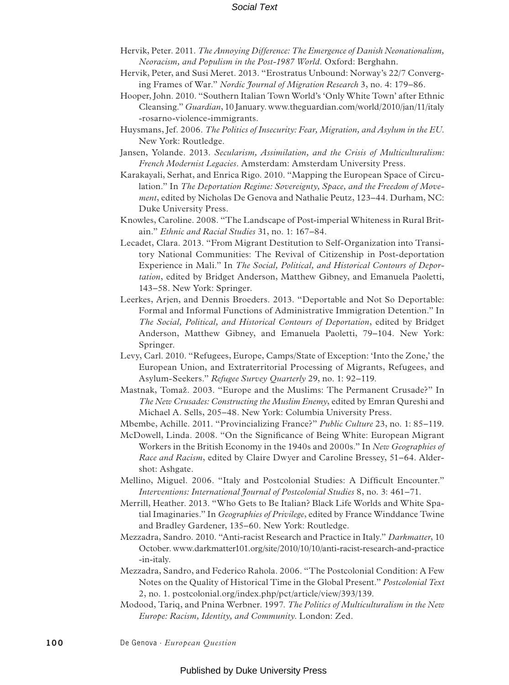- Hervik, Peter. 2011. *The Annoying Difference: The Emergence of Danish Neonationalism, Neoracism, and Populism in the Post-1987 World*. Oxford: Berghahn.
- Hervik, Peter, and Susi Meret. 2013. "Erostratus Unbound: Norway's 22/7 Converging Frames of War." *Nordic Journal of Migration Research* 3, no. 4: 179–86.
- Hooper, John. 2010. "Southern Italian Town World's 'Only White Town' after Ethnic Cleansing." *Guardian*, 10 January. www.theguardian.com/world/2010/jan/11/italy -rosarno-violence-immigrants.
- Huysmans, Jef. 2006. *The Politics of Insecurity: Fear, Migration, and Asylum in the EU*. New York: Routledge.
- Jansen, Yolande. 2013. *Secularism, Assimilation, and the Crisis of Multiculturalism: French Modernist Legacies*. Amsterdam: Amsterdam University Press.
- Karakayali, Serhat, and Enrica Rigo. 2010. "Mapping the European Space of Circulation." In *The Deportation Regime: Sovereignty, Space, and the Freedom of Movement*, edited by Nicholas De Genova and Nathalie Peutz, 123–44. Durham, NC: Duke University Press.
- Knowles, Caroline. 2008. "The Landscape of Post-imperial Whiteness in Rural Britain." *Ethnic and Racial Studies* 31, no. 1: 167–84.
- Lecadet, Clara. 2013. "From Migrant Destitution to Self-Organization into Transitory National Communities: The Revival of Citizenship in Post-deportation Experience in Mali." In *The Social, Political, and Historical Contours of Deportation*, edited by Bridget Anderson, Matthew Gibney, and Emanuela Paoletti, 143–58. New York: Springer.
- Leerkes, Arjen, and Dennis Broeders. 2013. "Deportable and Not So Deportable: Formal and Informal Functions of Administrative Immigration Detention." In *The Social, Political, and Historical Contours of Deportation*, edited by Bridget Anderson, Matthew Gibney, and Emanuela Paoletti, 79–104. New York: Springer.
- Levy, Carl. 2010. "Refugees, Europe, Camps/State of Exception: 'Into the Zone,' the European Union, and Extraterritorial Processing of Migrants, Refugees, and Asylum-Seekers." *Refugee Survey Quarterly* 29, no. 1: 92–119.
- Mastnak, Tomaž. 2003. "Europe and the Muslims: The Permanent Crusade?" In *The New Crusades: Constructing the Muslim Enemy*, edited by Emran Qureshi and Michael A. Sells, 205–48. New York: Columbia University Press.

Mbembe, Achille. 2011. "Provincializing France?" *Public Culture* 23, no. 1: 85–119.

- McDowell, Linda. 2008. "On the Significance of Being White: European Migrant Workers in the British Economy in the 1940s and 2000s." In *New Geographies of Race and Racism*, edited by Claire Dwyer and Caroline Bressey, 51–64. Aldershot: Ashgate.
- Mellino, Miguel. 2006. "Italy and Postcolonial Studies: A Difficult Encounter." *Interventions: International Journal of Postcolonial Studies* 8, no. 3: 461–71.
- Merrill, Heather. 2013. "Who Gets to Be Italian? Black Life Worlds and White Spatial Imaginaries." In *Geographies of Privilege*, edited by France Winddance Twine and Bradley Gardener, 135–60. New York: Routledge.
- Mezzadra, Sandro. 2010. "Anti-racist Research and Practice in Italy." *Darkmatter*, 10 October. www.darkmatter101.org/site/2010/10/10/anti-racist-research-and-practice -in-italy.
- Mezzadra, Sandro, and Federico Rahola. 2006. "The Postcolonial Condition: A Few Notes on the Quality of Historical Time in the Global Present." *Postcolonial Text* 2, no. 1. postcolonial.org/index.php/pct/article/view/393/139.
- Modood, Tariq, and Pnina Werbner. 1997. *The Politics of Multiculturalism in the New Europe: Racism, Identity, and Community*. London: Zed.

**100** De Genova · *European Question*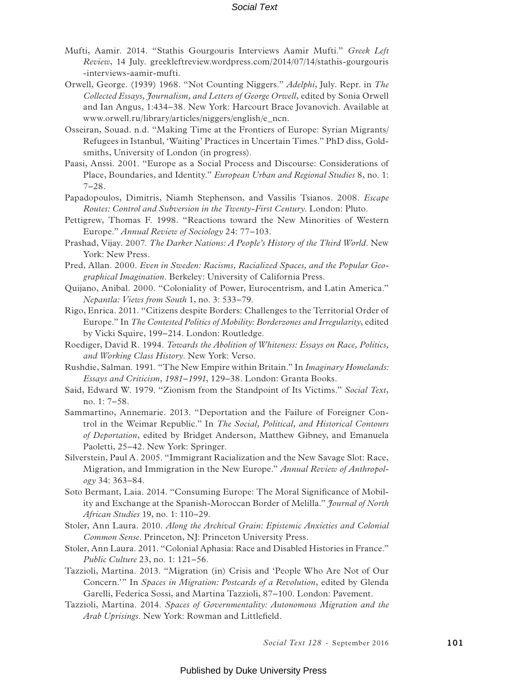- Mufti, Aamir. 2014. "Stathis Gourgouris Interviews Aamir Mufti." *Greek Left Review*, 14 July. greekleftreview.wordpress.com/2014/07/14/stathis-gourgouris -interviews-aamir-mufti.
- Orwell, George. (1939) 1968. "Not Counting Niggers." *Adelphi*, July. Repr. in *The Collected Essays, Journalism, and Letters of George Orwell*, edited by Sonia Orwell and Ian Angus, 1:434–38. New York: Harcourt Brace Jovanovich. Available at www.orwell.ru/library/articles/niggers/english/e\_ncn.
- Osseiran, Souad. n.d. "Making Time at the Frontiers of Europe: Syrian Migrants/ Refugees in Istanbul, 'Waiting' Practices in Uncertain Times." PhD diss, Goldsmiths, University of London (in progress).
- Paasi, Anssi. 2001. "Europe as a Social Process and Discourse: Considerations of Place, Boundaries, and Identity." *European Urban and Regional Studies* 8, no. 1: 7–28.
- Papadopoulos, Dimitris, Niamh Stephenson, and Vassilis Tsianos. 2008. *Escape Routes: Control and Subversion in the Twenty-First Century*. London: Pluto.
- Pettigrew, Thomas F. 1998. "Reactions toward the New Minorities of Western Europe." *Annual Review of Sociology* 24: 77–103.
- Prashad, Vijay. 2007. *The Darker Nations: A People's History of the Third World*. New York: New Press.
- Pred, Allan. 2000. *Even in Sweden: Racisms, Racialized Spaces, and the Popular Geographical Imagination*. Berkeley: University of California Press.
- Quijano, Anibal. 2000. "Coloniality of Power, Eurocentrism, and Latin America." *Nepantla: Views from South* 1, no. 3: 533–79.
- Rigo, Enrica. 2011. "Citizens despite Borders: Challenges to the Territorial Order of Europe." In *The Contested Politics of Mobility: Borderzones and Irregularity*, edited by Vicki Squire, 199–214. London: Routledge.
- Roediger, David R. 1994. *Towards the Abolition of Whiteness: Essays on Race, Politics, and Working Class History*. New York: Verso.
- Rushdie, Salman. 1991. "The New Empire within Britain." In *Imaginary Homelands: Essays and Criticism, 1981–1991*, 129–38. London: Granta Books.
- Said, Edward W. 1979. "Zionism from the Standpoint of Its Victims." *Social Text*, no. 1: 7–58.
- Sammartino, Annemarie. 2013. "Deportation and the Failure of Foreigner Control in the Weimar Republic." In *The Social, Political, and Historical Contours of Deportation*, edited by Bridget Anderson, Matthew Gibney, and Emanuela Paoletti, 25–42. New York: Springer.
- Silverstein, Paul A. 2005. "Immigrant Racialization and the New Savage Slot: Race, Migration, and Immigration in the New Europe." *Annual Review of Anthropology* 34: 363–84.
- Soto Bermant, Laia. 2014. "Consuming Europe: The Moral Significance of Mobility and Exchange at the Spanish-Moroccan Border of Melilla." *Journal of North African Studies* 19, no. 1: 110–29.
- Stoler, Ann Laura. 2010. *Along the Archival Grain: Epistemic Anxieties and Colonial Common Sense*. Princeton, NJ: Princeton University Press.
- Stoler, Ann Laura. 2011. "Colonial Aphasia: Race and Disabled Histories in France." *Public Culture* 23, no. 1: 121–56.
- Tazzioli, Martina. 2013. "Migration (in) Crisis and 'People Who Are Not of Our Concern.'" In *Spaces in Migration: Postcards of a Revolution*, edited by Glenda Garelli, Federica Sossi, and Martina Tazzioli, 87–100. London: Pavement.
- Tazzioli, Martina. 2014. *Spaces of Governmentality: Autonomous Migration and the Arab Uprisings*. New York: Rowman and Littlefield.

De Genova · *European Question Social Text 128* • September 2016 **101**